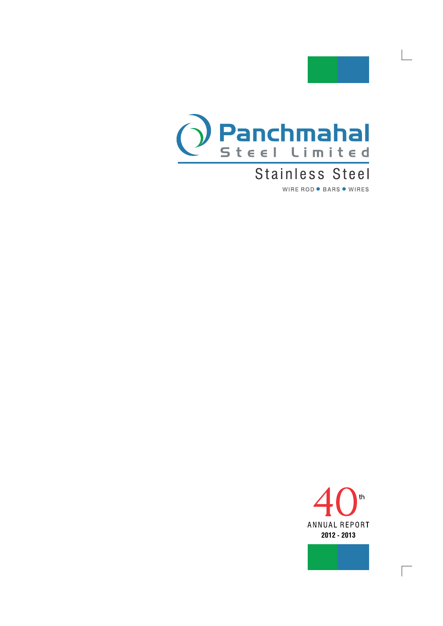

Ŀ,



## Stainless Steel WIRE ROD . BARS . WIRES



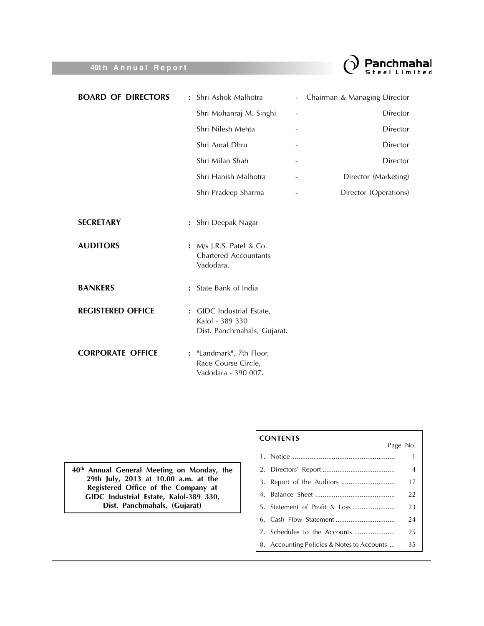

| <b>BOARD OF DIRECTORS</b> | : Shri Ashok Malhotra                                                       | $\overline{\phantom{a}}$ | Chairman & Managing Director |
|---------------------------|-----------------------------------------------------------------------------|--------------------------|------------------------------|
|                           | Shri Mohanraj M. Singhi                                                     | $\overline{\phantom{0}}$ | Director                     |
|                           | Shri Nilesh Mehta                                                           |                          | <b>Director</b>              |
|                           | Shri Amal Dhru                                                              |                          | Director                     |
|                           | Shri Milan Shah                                                             |                          | Director                     |
|                           | Shri Hanish Malhotra                                                        |                          | Director (Marketing)         |
|                           | Shri Pradeep Sharma                                                         |                          | Director (Operations)        |
|                           |                                                                             |                          |                              |
| <b>SECRETARY</b>          | : Shri Deepak Nagar                                                         |                          |                              |
| <b>AUDITORS</b>           | : M/s J.R.S. Patel & Co.<br><b>Chartered Accountants</b><br>Vadodara.       |                          |                              |
| <b>BANKERS</b>            | : State Bank of India                                                       |                          |                              |
| <b>REGISTERED OFFICE</b>  | : GIDC Industrial Estate,<br>Kalol - 389 330<br>Dist. Panchmahals, Gujarat. |                          |                              |
| <b>CORPORATE OFFICE</b>   | : "Landmark", 7th Floor,<br>Race Course Circle,<br>Vadodara - 390 007.      |                          |                              |

40<sup>th</sup> Annual General Meeting on Monday, the<br>29th July, 2013 at 10.00 a.m. at the Registered Office of the Company at<br>GIDC Industrial Estate, Kalol-389 330, Dist. Panchmahals, (Gujarat)

### **CONTENTS**

| <u>CUNILINIS</u><br>Page No.               |                |
|--------------------------------------------|----------------|
|                                            | 1              |
|                                            | $\overline{4}$ |
|                                            | 17             |
|                                            | 22             |
|                                            | 23             |
|                                            | 24             |
|                                            | 25             |
| 8. Accounting Policies & Notes to Accounts | 35             |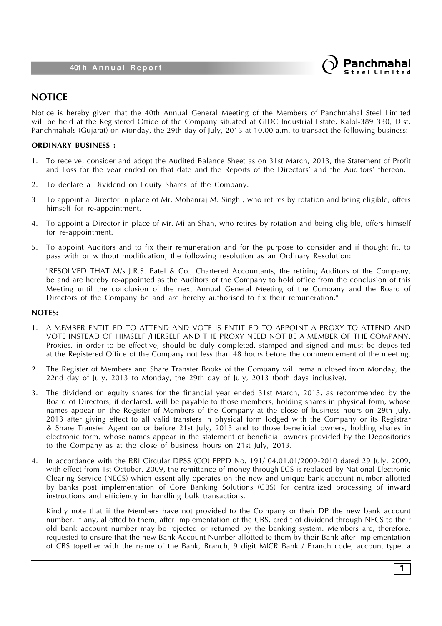

### **NOTICE**

Notice is hereby given that the 40th Annual General Meeting of the Members of Panchmahal Steel Limited will be held at the Registered Office of the Company situated at GIDC Industrial Estate, Kalol-389 330, Dist. Panchmahals (Gujarat) on Monday, the 29th day of July, 2013 at 10.00 a.m. to transact the following business:-

### **ORDINARY BUSINESS :**

- 1. To receive, consider and adopt the Audited Balance Sheet as on 31st March, 2013, the Statement of Profit and Loss for the year ended on that date and the Reports of the Directors' and the Auditors' thereon.
- 2. To declare a Dividend on Equity Shares of the Company.
- 3 To appoint a Director in place of Mr. Mohanraj M. Singhi, who retires by rotation and being eligible, offers himself for re-appointment.
- 4. To appoint a Director in place of Mr. Milan Shah, who retires by rotation and being eligible, offers himself for re-appointment.
- 5. To appoint Auditors and to fix their remuneration and for the purpose to consider and if thought fit, to pass with or without modification, the following resolution as an Ordinary Resolution:

"RESOLVED THAT M/s J.R.S. Patel & Co., Chartered Accountants, the retiring Auditors of the Company, be and are hereby re-appointed as the Auditors of the Company to hold office from the conclusion of this Meeting until the conclusion of the next Annual General Meeting of the Company and the Board of Directors of the Company be and are hereby authorised to fix their remuneration."

#### **NOTES:**

- 1. A MEMBER ENTITLED TO ATTEND AND VOTE IS ENTITLED TO APPOINT A PROXY TO ATTEND AND VOTE INSTEAD OF HIMSELF /HERSELF AND THE PROXY NEED NOT BE A MEMBER OF THE COMPANY. Proxies, in order to be effective, should be duly completed, stamped and signed and must be deposited at the Registered Office of the Company not less than 48 hours before the commencement of the meeting.
- 2. The Register of Members and Share Transfer Books of the Company will remain closed from Monday, the 22nd day of July, 2013 to Monday, the 29th day of July, 2013 (both days inclusive).
- 3. The dividend on equity shares for the financial year ended 31st March, 2013, as recommended by the Board of Directors, if declared, will be payable to those members, holding shares in physical form, whose names appear on the Register of Members of the Company at the close of business hours on 29th July, 2013 after giving effect to all valid transfers in physical form lodged with the Company or its Registrar & Share Transfer Agent on or before 21st July, 2013 and to those beneficial owners, holding shares in electronic form, whose names appear in the statement of beneficial owners provided by the Depositories to the Company as at the close of business hours on 21st July, 2013.
- 4. In accordance with the RBI Circular DPSS (CO) EPPD No. 191/ 04.01.01/2009-2010 dated 29 July, 2009, with effect from 1st October, 2009, the remittance of money through ECS is replaced by National Electronic Clearing Service (NECS) which essentially operates on the new and unique bank account number allotted by banks post implementation of Core Banking Solutions (CBS) for centralized processing of inward instructions and efficiency in handling bulk transactions.

Kindly note that if the Members have not provided to the Company or their DP the new bank account number, if any, allotted to them, after implementation of the CBS, credit of dividend through NECS to their old bank account number may be rejected or returned by the banking system. Members are, therefore, requested to ensure that the new Bank Account Number allotted to them by their Bank after implementation of CBS together with the name of the Bank, Branch, 9 digit MICR Bank / Branch code, account type, a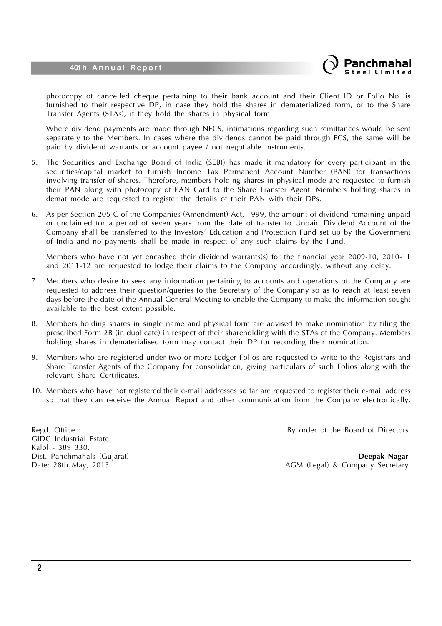

photocopy of cancelled cheque pertaining to their bank account and their Client ID or Folio No. is furnished to their respective DP, in case they hold the shares in dematerialized form, or to the Share Transfer Agents (STAs), if they hold the shares in physical form.

Where dividend payments are made through NECS, intimations regarding such remittances would be sent separately to the Members. In cases where the dividends cannot be paid through ECS, the same will be paid by dividend warrants or account payee / not negotiable instruments.

- 5. The Securities and Exchange Board of India (SEBI) has made it mandatory for every participant in the securities/capital market to furnish Income Tax Permanent Account Number (PAN) for transactions involving transfer of shares. Therefore, members holding shares in physical mode are requested to furnish their PAN along with photocopy of PAN Card to the Share Transfer Agent. Members holding shares in demat mode are requested to register the details of their PAN with their DPs.
- 6. As per Section 205-C of the Companies (Amendment) Act, 1999, the amount of dividend remaining unpaid or unclaimed for a period of seven years from the date of transfer to Unpaid Dividend Account of the Company shall be transferred to the Investors' Education and Protection Fund set up by the Government of India and no payments shall be made in respect of any such claims by the Fund.

Members who have not yet encashed their dividend warrants(s) for the financial year 2009-10, 2010-11 and 2011-12 are requested to lodge their claims to the Company accordingly, without any delay.

- 7. Members who desire to seek any information pertaining to accounts and operations of the Company are requested to address their question/queries to the Secretary of the Company so as to reach at least seven days before the date of the Annual General Meeting to enable the Company to make the information sought available to the best extent possible.
- 8. Members holding shares in single name and physical form are advised to make nomination by filing the prescribed Form 2B (in duplicate) in respect of their shareholding with the STAs of the Company. Members holding shares in dematerialised form may contact their DP for recording their nomination.
- 9. Members who are registered under two or more Ledger Folios are requested to write to the Registrars and Share Transfer Agents of the Company for consolidation, giving particulars of such Folios along with the relevant Share Certificates.
- 10. Members who have not registered their e-mail addresses so far are requested to register their e-mail address so that they can receive the Annual Report and other communication from the Company electronically.

GIDC Industrial Estate, Kalol - 389 330,

Regd. Office : **By order of the Board of Directors** 

Dist. Panchmahals (Gujarat) **Deepak Nagar** Date: 28th May, 2013 **AGM** (Legal) & Company Secretary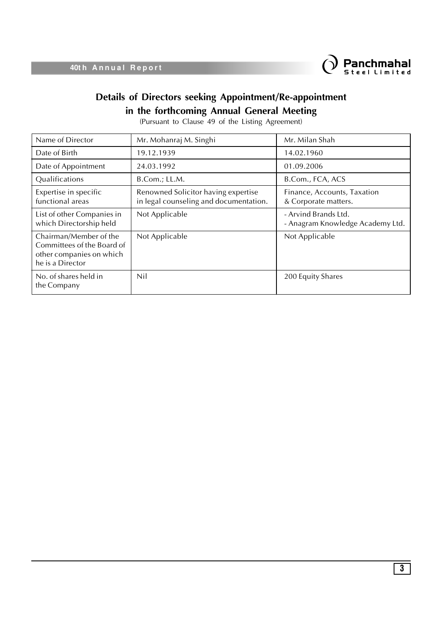

## **Details of Directors seeking Appointment/Re-appointment in the forthcoming Annual General Meeting**

(Pursuant to Clause 49 of the Listing Agreement)

| Name of Director                                                                                     | Mr. Mohanraj M. Singhi                                                        | Mr. Milan Shah                                           |
|------------------------------------------------------------------------------------------------------|-------------------------------------------------------------------------------|----------------------------------------------------------|
| Date of Birth                                                                                        | 19.12.1939                                                                    | 14.02.1960                                               |
| Date of Appointment                                                                                  | 24.03.1992                                                                    | 01.09.2006                                               |
| Qualifications                                                                                       | B.Com.; LL.M.                                                                 | B.Com., FCA, ACS                                         |
| Expertise in specific<br>functional areas                                                            | Renowned Solicitor having expertise<br>in legal counseling and documentation. | Finance, Accounts, Taxation<br>& Corporate matters.      |
| List of other Companies in<br>which Directorship held                                                | Not Applicable                                                                | - Arvind Brands Ltd.<br>- Anagram Knowledge Academy Ltd. |
| Chairman/Member of the<br>Committees of the Board of<br>other companies on which<br>he is a Director | Not Applicable                                                                | Not Applicable                                           |
| No. of shares held in<br>the Company                                                                 | Nil                                                                           | 200 Equity Shares                                        |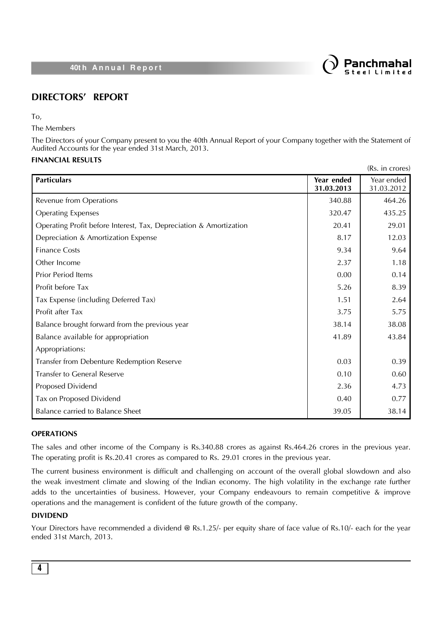

### **DIRECTORS' REPORT**

To,

The Members

The Directors of your Company present to you the 40th Annual Report of your Company together with the Statement of Audited Accounts for the year ended 31st March, 2013.

### **FINANCIAL RESULTS**

|                                                                    |                          | (Rs. in crores)          |
|--------------------------------------------------------------------|--------------------------|--------------------------|
| <b>Particulars</b>                                                 | Year ended<br>31.03.2013 | Year ended<br>31.03.2012 |
| Revenue from Operations                                            | 340.88                   | 464.26                   |
| <b>Operating Expenses</b>                                          | 320.47                   | 435.25                   |
| Operating Profit before Interest, Tax, Depreciation & Amortization | 20.41                    | 29.01                    |
| Depreciation & Amortization Expense                                | 8.17                     | 12.03                    |
| <b>Finance Costs</b>                                               | 9.34                     | 9.64                     |
| Other Income                                                       | 2.37                     | 1.18                     |
| Prior Period Items                                                 | 0.00                     | 0.14                     |
| Profit before Tax                                                  | 5.26                     | 8.39                     |
| Tax Expense (including Deferred Tax)                               | 1.51                     | 2.64                     |
| Profit after Tax                                                   | 3.75                     | 5.75                     |
| Balance brought forward from the previous year                     | 38.14                    | 38.08                    |
| Balance available for appropriation                                | 41.89                    | 43.84                    |
| Appropriations:                                                    |                          |                          |
| Transfer from Debenture Redemption Reserve                         | 0.03                     | 0.39                     |
| Transfer to General Reserve                                        | 0.10                     | 0.60                     |
| Proposed Dividend                                                  | 2.36                     | 4.73                     |
| Tax on Proposed Dividend                                           | 0.40                     | 0.77                     |
| Balance carried to Balance Sheet                                   | 39.05                    | 38.14                    |

### **OPERATIONS**

The sales and other income of the Company is Rs.340.88 crores as against Rs.464.26 crores in the previous year. The operating profit is Rs.20.41 crores as compared to Rs. 29.01 crores in the previous year.

The current business environment is difficult and challenging on account of the overall global slowdown and also the weak investment climate and slowing of the Indian economy. The high volatility in the exchange rate further adds to the uncertainties of business. However, your Company endeavours to remain competitive & improve operations and the management is confident of the future growth of the company.

### **DIVIDEND**

Your Directors have recommended a dividend @ Rs.1.25/- per equity share of face value of Rs.10/- each for the year ended 31st March, 2013.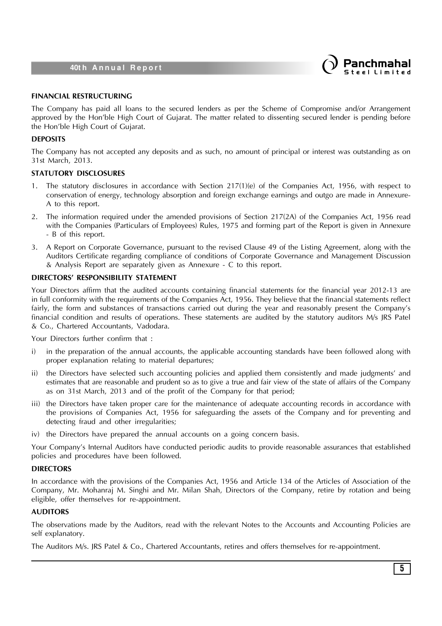

#### **FINANCIAL RESTRUCTURING**

The Company has paid all loans to the secured lenders as per the Scheme of Compromise and/or Arrangement approved by the Hon'ble High Court of Gujarat. The matter related to dissenting secured lender is pending before the Hon'ble High Court of Gujarat.

#### **DEPOSITS**

The Company has not accepted any deposits and as such, no amount of principal or interest was outstanding as on 31st March, 2013.

#### **STATUTORY DISCLOSURES**

- 1. The statutory disclosures in accordance with Section 217(1)(e) of the Companies Act, 1956, with respect to conservation of energy, technology absorption and foreign exchange earnings and outgo are made in Annexure-A to this report.
- 2. The information required under the amended provisions of Section 217(2A) of the Companies Act, 1956 read with the Companies (Particulars of Employees) Rules, 1975 and forming part of the Report is given in Annexure - B of this report.
- 3. A Report on Corporate Governance, pursuant to the revised Clause 49 of the Listing Agreement, along with the Auditors Certificate regarding compliance of conditions of Corporate Governance and Management Discussion & Analysis Report are separately given as Annexure - C to this report.

#### **DIRECTORS' RESPONSIBILITY STATEMENT**

Your Directors affirm that the audited accounts containing financial statements for the financial year 2012-13 are in full conformity with the requirements of the Companies Act, 1956. They believe that the financial statements reflect fairly, the form and substances of transactions carried out during the year and reasonably present the Company's financial condition and results of operations. These statements are audited by the statutory auditors M/s JRS Patel & Co., Chartered Accountants, Vadodara.

Your Directors further confirm that :

- i) in the preparation of the annual accounts, the applicable accounting standards have been followed along with proper explanation relating to material departures;
- ii) the Directors have selected such accounting policies and applied them consistently and made judgments' and estimates that are reasonable and prudent so as to give a true and fair view of the state of affairs of the Company as on 31st March, 2013 and of the profit of the Company for that period;
- iii) the Directors have taken proper care for the maintenance of adequate accounting records in accordance with the provisions of Companies Act, 1956 for safeguarding the assets of the Company and for preventing and detecting fraud and other irregularities;
- iv) the Directors have prepared the annual accounts on a going concern basis.

Your Company's Internal Auditors have conducted periodic audits to provide reasonable assurances that established policies and procedures have been followed.

### **DIRECTORS**

In accordance with the provisions of the Companies Act, 1956 and Article 134 of the Articles of Association of the Company, Mr. Mohanraj M. Singhi and Mr. Milan Shah, Directors of the Company, retire by rotation and being eligible, offer themselves for re-appointment.

### **AUDITORS**

The observations made by the Auditors, read with the relevant Notes to the Accounts and Accounting Policies are self explanatory.

The Auditors M/s. JRS Patel & Co., Chartered Accountants, retires and offers themselves for re-appointment.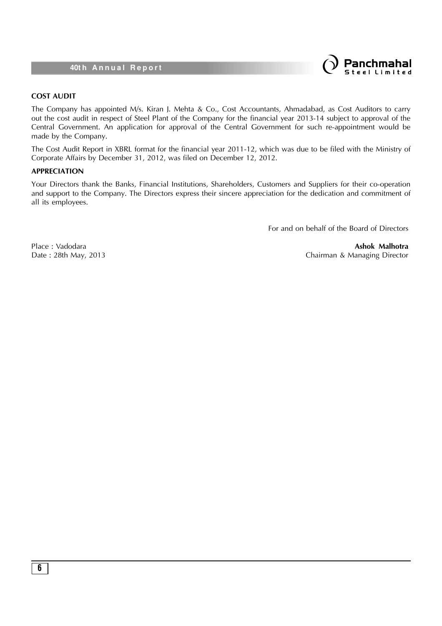

#### **COST AUDIT**

The Company has appointed M/s. Kiran J. Mehta & Co., Cost Accountants, Ahmadabad, as Cost Auditors to carry out the cost audit in respect of Steel Plant of the Company for the financial year 2013-14 subject to approval of the Central Government. An application for approval of the Central Government for such re-appointment would be made by the Company.

The Cost Audit Report in XBRL format for the financial year 2011-12, which was due to be filed with the Ministry of Corporate Affairs by December 31, 2012, was filed on December 12, 2012.

#### **APPRECIATION**

Your Directors thank the Banks, Financial Institutions, Shareholders, Customers and Suppliers for their co-operation and support to the Company. The Directors express their sincere appreciation for the dedication and commitment of all its employees.

For and on behalf of the Board of Directors

Place : Vadodara **Ashok Malhotra** Date : 28th May, 2013 2008 2013 2014 2014 2016 2017 2018 2019 2014 2014 2016 2017 2018 2019 2019 201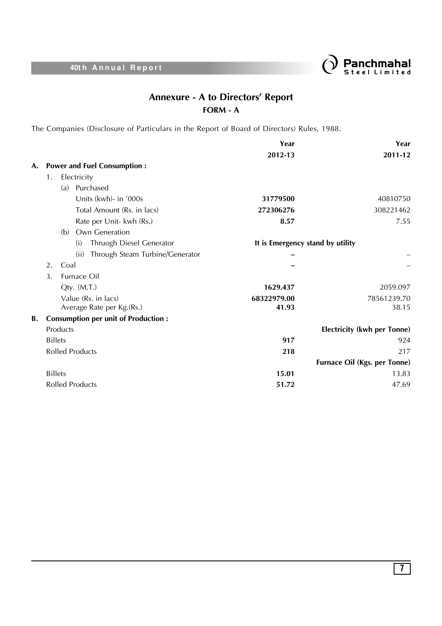

## **Annexure - A to Directors' Report FORM - A**

The Companies (Disclosure of Particulars in the Report of Board of Directors) Rules, 1988.

|    |                                            | Year                             | Year                                |
|----|--------------------------------------------|----------------------------------|-------------------------------------|
|    |                                            | 2012-13                          | 2011-12                             |
| A. | <b>Power and Fuel Consumption:</b>         |                                  |                                     |
|    | Electricity<br>1.                          |                                  |                                     |
|    | Purchased<br>(a)                           |                                  |                                     |
|    | Units (kwh)- in '000s                      | 31779500                         | 40810750                            |
|    | Total Amount (Rs. in lacs)                 | 272306276                        | 308221462                           |
|    | Rate per Unit- kwh (Rs.)                   | 8.57                             | 7.55                                |
|    | Own Generation<br>(b)                      |                                  |                                     |
|    | Thruogh Diesel Generator<br>(i)            | It is Emergency stand by utility |                                     |
|    | Through Steam Turbine/Generator<br>(ii)    |                                  |                                     |
|    | 2.<br>Coal                                 |                                  |                                     |
|    | Furnace Oil<br>3.                          |                                  |                                     |
|    | Qty. (M.T.)                                | 1629.437                         | 2059.097                            |
|    | Value (Rs. in lacs)                        | 68322979.00                      | 78561239.70                         |
|    | Average Rate per Kg.(Rs.)                  | 41.93                            | 38.15                               |
| В. | <b>Consumption per unit of Production:</b> |                                  |                                     |
|    | Products                                   |                                  | <b>Electricity (kwh per Tonne)</b>  |
|    | <b>Billets</b>                             | 917                              | 924                                 |
|    | <b>Rolled Products</b>                     | 218                              | 217                                 |
|    |                                            |                                  | <b>Furnace Oil (Kgs. per Tonne)</b> |
|    | <b>Billets</b>                             | 15.01                            | 13.83                               |
|    | <b>Rolled Products</b>                     | 51.72                            | 47.69                               |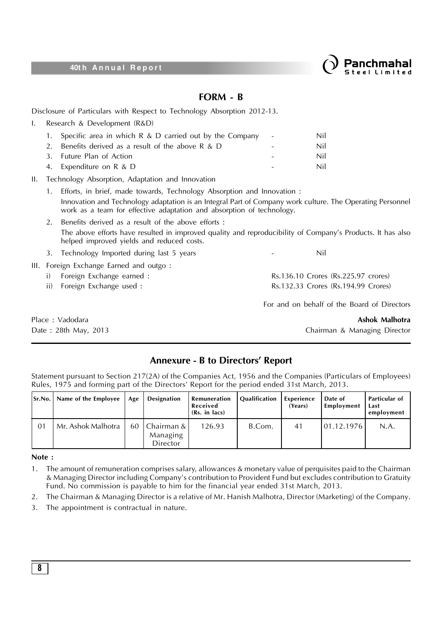

### **FORM - B**

Disclosure of Particulars with Respect to Technology Absorption 2012-13.

|         | Research & Development (R&D)                               |            |     |
|---------|------------------------------------------------------------|------------|-----|
| 1.      | Specific area in which $R \& D$ carried out by the Company | $\sim$ $-$ | Nil |
| $2^{+}$ | Benefits derived as a result of the above $R \& D$         |            | Nil |
| 3.      | Future Plan of Action                                      |            | Nil |
|         | 4. Expenditure on R & D                                    |            | Nil |
|         |                                                            |            |     |

II. Technology Absorption, Adaptation and Innovation

- 1. Efforts, in brief, made towards, Technology Absorption and Innovation : Innovation and Technology adaptation is an Integral Part of Company work culture. The Operating Personnel work as a team for effective adaptation and absorption of technology.
- 2. Benefits derived as a result of the above efforts : The above efforts have resulted in improved quality and reproducibility of Company's Products. It has also helped improved yields and reduced costs.
- 3. Technology Imported during last 5 years **1988** 1999 Nil

III. Foreign Exchange Earned and outgo :

- i) Foreign Exchange earned : Rs.136.10 Crores (Rs.225.97 crores)
- ii) Foreign Exchange used : Rs.132.33 Crores (Rs.194.99 Crores)

Date : 28th May, 2013 Chairman & Managing Director

Place : Vadodara **Ashok Malhotra**

For and on behalf of the Board of Directors

### **Annexure - B to Directors' Report**

Statement pursuant to Section 217(2A) of the Companies Act, 1956 and the Companies (Particulars of Employees) Rules, 1975 and forming part of the Directors' Report for the period ended 31st March, 2013.

| Sr.No.         | Name of the Employee | Age | Designation                          | Remuneration<br>Received<br>(Rs. in lacs) | <b>Qualification</b> | Experience<br>(Years) | Date of<br>Employment | Particular of<br>Last<br>employment |
|----------------|----------------------|-----|--------------------------------------|-------------------------------------------|----------------------|-----------------------|-----------------------|-------------------------------------|
| 0 <sub>1</sub> | Mr. Ashok Malhotra   | 60  | Chairman & I<br>Managing<br>Director | 126.93                                    | B.Com.               | 4 <sup>1</sup>        | 01.12.1976            | N.A.                                |

### **Note :**

- 1. The amount of remuneration comprises salary, allowances & monetary value of perquisites paid to the Chairman & Managing Director including Company's contribution to Provident Fund but excludes contribution to Gratuity Fund. No commission is payable to him for the financial year ended 31st March, 2013.
- 2. The Chairman & Managing Director is a relative of Mr. Hanish Malhotra, Director (Marketing) of the Company.
- 3. The appointment is contractual in nature.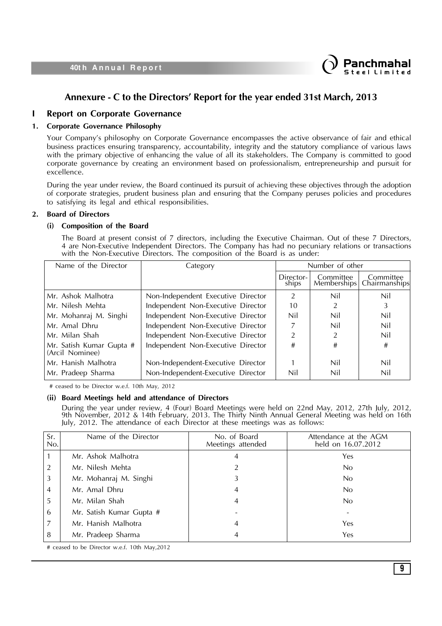

### **Annexure - C to the Directors' Report for the year ended 31st March, 2013**

### **I Report on Corporate Governance**

### **1. Corporate Governance Philosophy**

Your Company's philosophy on Corporate Governance encompasses the active observance of fair and ethical business practices ensuring transparency, accountability, integrity and the statutory compliance of various laws with the primary objective of enhancing the value of all its stakeholders. The Company is committed to good corporate governance by creating an environment based on professionalism, entrepreneurship and pursuit for excellence.

During the year under review, the Board continued its pursuit of achieving these objectives through the adoption of corporate strategies, prudent business plan and ensuring that the Company peruses policies and procedures to satisfying its legal and ethical responsibilities.

#### **2. Board of Directors**

#### **(i) Composition of the Board**

The Board at present consist of 7 directors, including the Executive Chairman. Out of these 7 Directors, 4 are Non-Executive Independent Directors. The Company has had no pecuniary relations or transactions with the Non-Executive Directors. The composition of the Board is as under:

| Name of the Director                        | Category                           | Number of other    |                           |                            |
|---------------------------------------------|------------------------------------|--------------------|---------------------------|----------------------------|
|                                             |                                    | Director-<br>ships | Committee<br> Memberships | Committee<br>Chairmanships |
| Mr. Ashok Malhotra                          | Non-Independent Executive Director | $\mathcal{P}$      | Nil                       | Nil                        |
| Mr. Nilesh Mehta                            | Independent Non-Executive Director | 10                 |                           |                            |
| Mr. Mohanraj M. Singhi                      | Independent Non-Executive Director | Nil                | Nil                       | Nil                        |
| Mr. Amal Dhru                               | Independent Non-Executive Director |                    | Nil                       | Nil                        |
| Mr. Milan Shah                              | Independent Non-Executive Director | $\mathfrak{D}$     | 2                         | Nil                        |
| Mr. Satish Kumar Gupta #<br>(Arcil Nominee) | Independent Non-Executive Director | #                  | #                         | #                          |
| Mr. Hanish Malhotra                         | Non-Independent-Executive Director |                    | Nil                       | Nil                        |
| Mr. Pradeep Sharma                          | Non-Independent-Executive Director | Nil                | Nil                       | Nil                        |

# ceased to be Director w.e.f. 10th May, 2012

#### **(ii) Board Meetings held and attendance of Directors**

During the year under review, 4 (Four) Board Meetings were held on 22nd May, 2012, 27th July, 2012, 9th November, 2012 & 14th February, 2013. The Thirty Ninth Annual General Meeting was held on 16th July, 2012. The attendance of each Director at these meetings was as follows:

| Sr.<br>No.     | Name of the Director     | No. of Board<br>Meetings attended | Attendance at the AGM<br>held on 16.07.2012 |
|----------------|--------------------------|-----------------------------------|---------------------------------------------|
|                | Mr. Ashok Malhotra       | 4                                 | Yes                                         |
| $\overline{2}$ | Mr. Nilesh Mehta         |                                   | No                                          |
| 3              | Mr. Mohanraj M. Singhi   | 3                                 | No                                          |
| 4              | Mr. Amal Dhru            | 4                                 | No                                          |
| 5              | Mr. Milan Shah           | 4                                 | N <sub>0</sub>                              |
| 6              | Mr. Satish Kumar Gupta # |                                   |                                             |
| 7              | Mr. Hanish Malhotra      | 4                                 | Yes                                         |
| 8              | Mr. Pradeep Sharma       | 4                                 | <b>Yes</b>                                  |

# ceased to be Director w.e.f. 10th May,2012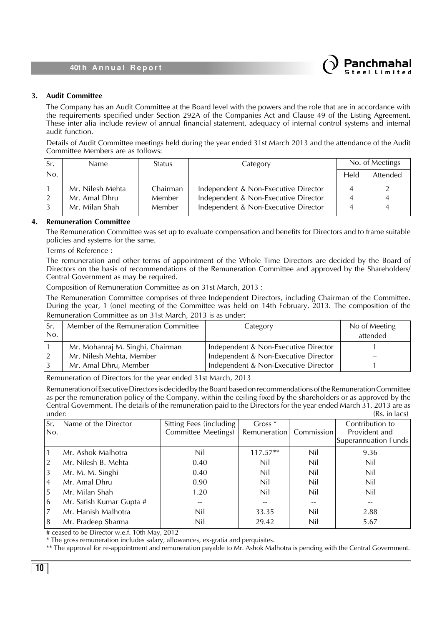

### **3. Audit Committee**

The Company has an Audit Committee at the Board level with the powers and the role that are in accordance with the requirements specified under Section 292A of the Companies Act and Clause 49 of the Listing Agreement. These inter alia include review of annual financial statement, adequacy of internal control systems and internal audit function.

Details of Audit Committee meetings held during the year ended 31st March 2013 and the attendance of the Audit Committee Members are as follows:

| Sr. | <b>Name</b>                                         | Status                              | Category                                                                                                             |      | No. of Meetings |
|-----|-----------------------------------------------------|-------------------------------------|----------------------------------------------------------------------------------------------------------------------|------|-----------------|
| No. |                                                     |                                     |                                                                                                                      | Held | Attended        |
|     | Mr. Nilesh Mehta<br>Mr. Amal Dhru<br>Mr. Milan Shah | Chairman<br><b>Member</b><br>Member | Independent & Non-Executive Director<br>Independent & Non-Executive Director<br>Independent & Non-Executive Director |      | 4<br>4          |

### **4. Remuneration Committee**

The Remuneration Committee was set up to evaluate compensation and benefits for Directors and to frame suitable policies and systems for the same.

Terms of Reference :

The remuneration and other terms of appointment of the Whole Time Directors are decided by the Board of Directors on the basis of recommendations of the Remuneration Committee and approved by the Shareholders/ Central Government as may be required.

Composition of Remuneration Committee as on 31st March, 2013 :

The Remuneration Committee comprises of three Independent Directors, including Chairman of the Committee. During the year, 1 (one) meeting of the Committee was held on 14th February, 2013. The composition of the Remuneration Committee as on 31st March, 2013 is as under:

| Sr.             | Member of the Remuneration Committee | Category                             | No of Meeting |
|-----------------|--------------------------------------|--------------------------------------|---------------|
| IN <sub>O</sub> |                                      |                                      | attended      |
|                 | Mr. Mohanraj M. Singhi, Chairman     | Independent & Non-Executive Director |               |
|                 | Mr. Nilesh Mehta, Member             | Independent & Non-Executive Director |               |
|                 | Mr. Amal Dhru, Member                | Independent & Non-Executive Director |               |

Remuneration of Directors for the year ended 31st March, 2013

Remuneration of Executive Directors is decided by the Board based on recommendations of the Remuneration Committee as per the remuneration policy of the Company, within the ceiling fixed by the shareholders or as approved by the Central Government. The details of the remuneration paid to the Directors for the year ended March 31, 2013 are as under: (Rs. in lacs)

| Sr <br>No.     | Name of the Director     | Sitting Fees (including<br>Committee Meetings) | Gross $*$<br>Remuneration | Commission | Contribution to<br>Provident and<br>Superannuation Funds |
|----------------|--------------------------|------------------------------------------------|---------------------------|------------|----------------------------------------------------------|
| 1              | Mr. Ashok Malhotra       | Nil                                            | $117.57**$                | Nil        | 9.36                                                     |
| $\overline{2}$ | Mr. Nilesh B. Mehta      | 0.40                                           | Nil                       | Nil        | Nil                                                      |
| $\vert$ 3      | Mr. M. M. Singhi         | 0.40                                           | Nil                       | Nil        | Nil                                                      |
| 4              | Mr. Amal Dhru            | 0.90                                           | Nil                       | Nil        | Nil                                                      |
| 5              | Mr. Milan Shah           | 1.20                                           | Nil                       | Nil        | Nil                                                      |
| 6              | Mr. Satish Kumar Gupta # |                                                |                           |            | $-$                                                      |
| $\vert$ 7      | Mr. Hanish Malhotra      | Nil                                            | 33.35                     | Nil        | 2.88                                                     |
| 8              | Mr. Pradeep Sharma       | Nil                                            | 29.42                     | Nil        | 5.67                                                     |

# ceased to be Director w.e.f. 10th May, 2012

\* The gross remuneration includes salary, allowances, ex-gratia and perquisites.

\*\* The approval for re-appointment and remuneration payable to Mr. Ashok Malhotra is pending with the Central Government.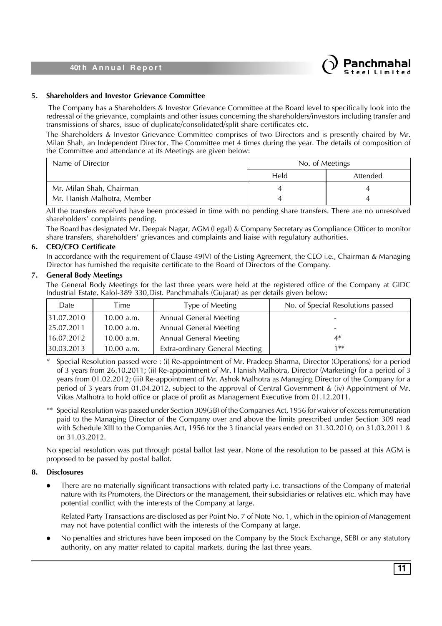

### **5. Shareholders and Investor Grievance Committee**

 The Company has a Shareholders & Investor Grievance Committee at the Board level to specifically look into the redressal of the grievance, complaints and other issues concerning the shareholders/investors including transfer and transmissions of shares, issue of duplicate/consolidated/split share certificates etc.

The Shareholders & Investor Grievance Committee comprises of two Directors and is presently chaired by Mr. Milan Shah, an Independent Director. The Committee met 4 times during the year. The details of composition of the Committee and attendance at its Meetings are given below:

| Name of Director            | No. of Meetings |                 |  |
|-----------------------------|-----------------|-----------------|--|
|                             | Held            | <b>Attended</b> |  |
| Mr. Milan Shah, Chairman    |                 |                 |  |
| Mr. Hanish Malhotra, Member |                 |                 |  |

All the transfers received have been processed in time with no pending share transfers. There are no unresolved shareholders' complaints pending.

The Board has designated Mr. Deepak Nagar, AGM (Legal) & Company Secretary as Compliance Officer to monitor share transfers, shareholders' grievances and complaints and liaise with regulatory authorities.

### **6. CEO/CFO Certificate**

In accordance with the requirement of Clause 49(V) of the Listing Agreement, the CEO i.e., Chairman & Managing Director has furnished the requisite certificate to the Board of Directors of the Company.

### **7. General Body Meetings**

The General Body Meetings for the last three years were held at the registered office of the Company at GIDC Industrial Estate, Kalol-389 330,Dist. Panchmahals (Gujarat) as per details given below:

| Date       | Time       | Type of Meeting                | No. of Special Resolutions passed |
|------------|------------|--------------------------------|-----------------------------------|
| 31.07.2010 | 10.00 a.m. | <b>Annual General Meeting</b>  |                                   |
| 25.07.2011 | 10.00 a.m. | <b>Annual General Meeting</b>  | $\overline{\phantom{a}}$          |
| 16.07.2012 | 10.00 a.m. | <b>Annual General Meeting</b>  | 4*                                |
| 30.03.2013 | 10.00 a.m. | Extra-ordinary General Meeting | 1**                               |

Special Resolution passed were : (i) Re-appointment of Mr. Pradeep Sharma, Director (Operations) for a period of 3 years from 26.10.2011; (ii) Re-appointment of Mr. Hanish Malhotra, Director (Marketing) for a period of 3 years from 01.02.2012; (iii) Re-appointment of Mr. Ashok Malhotra as Managing Director of the Company for a period of 3 years from 01.04.2012, subject to the approval of Central Government & (iv) Appointment of Mr. Vikas Malhotra to hold office or place of profit as Management Executive from 01.12.2011.

\*\* Special Resolution was passed under Section 309(5B) of the Companies Act, 1956 for waiver of excess remuneration paid to the Managing Director of the Company over and above the limits prescribed under Section 309 read with Schedule XIII to the Companies Act, 1956 for the 3 financial years ended on 31.30.2010, on 31.03.2011 & on 31.03.2012.

No special resolution was put through postal ballot last year. None of the resolution to be passed at this AGM is proposed to be passed by postal ballot.

### **8. Disclosures**

• There are no materially significant transactions with related party i.e. transactions of the Company of material nature with its Promoters, the Directors or the management, their subsidiaries or relatives etc. which may have potential conflict with the interests of the Company at large.

Related Party Transactions are disclosed as per Point No. 7 of Note No. 1, which in the opinion of Management may not have potential conflict with the interests of the Company at large.

l No penalties and strictures have been imposed on the Company by the Stock Exchange, SEBI or any statutory authority, on any matter related to capital markets, during the last three years.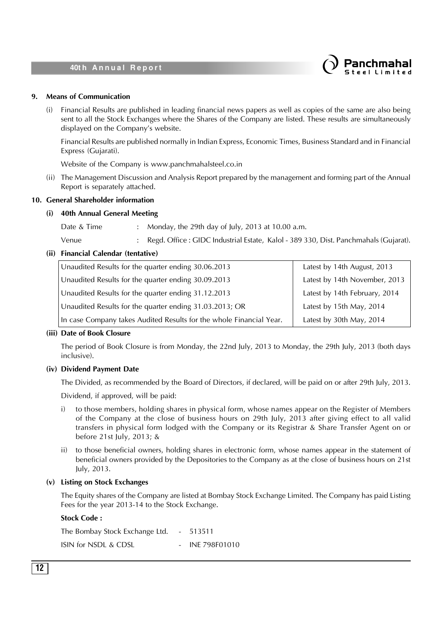

### **9. Means of Communication**

(i) Financial Results are published in leading financial news papers as well as copies of the same are also being sent to all the Stock Exchanges where the Shares of the Company are listed. These results are simultaneously displayed on the Company's website.

Financial Results are published normally in Indian Express, Economic Times, Business Standard and in Financial Express (Gujarati).

Website of the Company is www.panchmahalsteel.co.in

(ii) The Management Discussion and Analysis Report prepared by the management and forming part of the Annual Report is separately attached.

### **10. General Shareholder information**

#### **(i) 40th Annual General Meeting**

Date & Time : Monday, the 29th day of July, 2013 at 10.00 a.m.

Venue : Regd. Office : GIDC Industrial Estate, Kalol - 389 330, Dist. Panchmahals (Gujarat).

### **(ii) Financial Calendar (tentative)**

| Unaudited Results for the quarter ending 30.06.2013                 | Latest by 14th August, 2013   |
|---------------------------------------------------------------------|-------------------------------|
| Unaudited Results for the quarter ending 30.09.2013                 | Latest by 14th November, 2013 |
| Unaudited Results for the quarter ending 31.12.2013                 | Latest by 14th February, 2014 |
| Unaudited Results for the quarter ending 31.03.2013; OR             | Latest by 15th May, 2014      |
| In case Company takes Audited Results for the whole Financial Year. | Latest by 30th May, 2014      |

### **(iii) Date of Book Closure**

The period of Book Closure is from Monday, the 22nd July, 2013 to Monday, the 29th July, 2013 (both days inclusive).

### **(iv) Dividend Payment Date**

The Divided, as recommended by the Board of Directors, if declared, will be paid on or after 29th July, 2013.

Dividend, if approved, will be paid:

- i) to those members, holding shares in physical form, whose names appear on the Register of Members of the Company at the close of business hours on 29th July, 2013 after giving effect to all valid transfers in physical form lodged with the Company or its Registrar & Share Transfer Agent on or before 21st July, 2013; &
- ii) to those beneficial owners, holding shares in electronic form, whose names appear in the statement of beneficial owners provided by the Depositories to the Company as at the close of business hours on 21st July, 2013.

#### **(v) Listing on Stock Exchanges**

The Equity shares of the Company are listed at Bombay Stock Exchange Limited. The Company has paid Listing Fees for the year 2013-14 to the Stock Exchange.

### **Stock Code :**

The Bombay Stock Exchange Ltd. - 513511 ISIN for NSDL & CDSL - INE 798F01010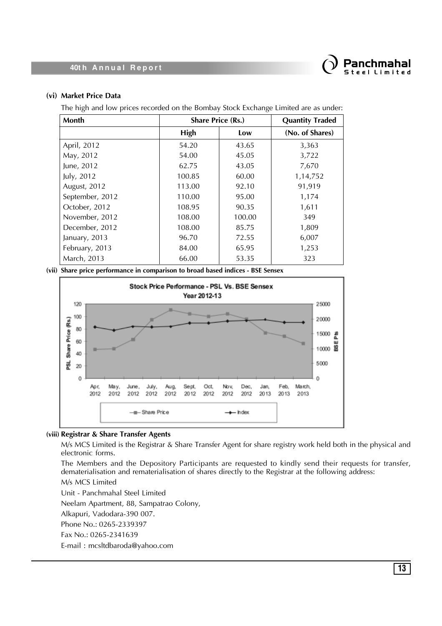

### **(vi) Market Price Data**

The high and low prices recorded on the Bombay Stock Exchange Limited are as under:

| <b>Month</b>    | <b>Share Price (Rs.)</b> |        | <b>Quantity Traded</b> |
|-----------------|--------------------------|--------|------------------------|
|                 | High                     | Low    | (No. of Shares)        |
| April, 2012     | 54.20                    | 43.65  | 3,363                  |
| May, 2012       | 54.00                    | 45.05  | 3,722                  |
| June, 2012      | 62.75                    | 43.05  | 7,670                  |
| July, 2012      | 100.85                   | 60.00  | 1,14,752               |
| August, 2012    | 113.00                   | 92.10  | 91,919                 |
| September, 2012 | 110.00                   | 95.00  | 1,174                  |
| October, 2012   | 108.95                   | 90.35  | 1,611                  |
| November, 2012  | 108.00                   | 100.00 | 349                    |
| December, 2012  | 108.00                   | 85.75  | 1,809                  |
| January, 2013   | 96.70                    | 72.55  | 6,007                  |
| February, 2013  | 84.00                    | 65.95  | 1,253                  |
| March, 2013     | 66.00                    | 53.35  | 323                    |

**(vii) Share price performance in comparison to broad based indices - BSE Sensex**



### **(viii) Registrar & Share Transfer Agents**

M/s MCS Limited is the Registrar & Share Transfer Agent for share registry work held both in the physical and electronic forms.

The Members and the Depository Participants are requested to kindly send their requests for transfer, dematerialisation and rematerialisation of shares directly to the Registrar at the following address:

M/s MCS Limited

Unit - Panchmahal Steel Limited

Neelam Apartment, 88, Sampatrao Colony,

Alkapuri, Vadodara-390 007.

Phone No.: 0265-2339397

Fax No.: 0265-2341639

E-mail : mcsltdbaroda@yahoo.com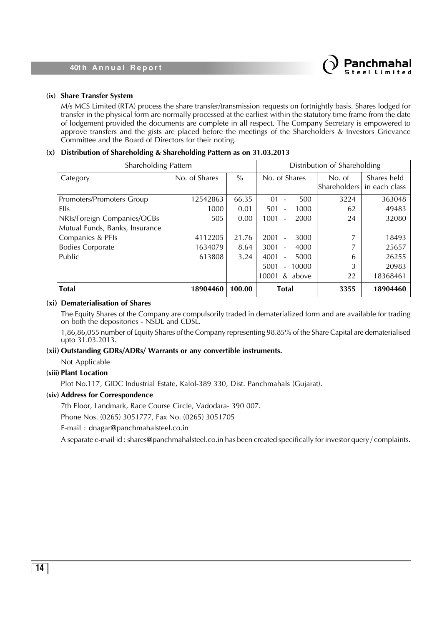

### **(ix) Share Transfer System**

M/s MCS Limited (RTA) process the share transfer/transmission requests on fortnightly basis. Shares lodged for transfer in the physical form are normally processed at the earliest within the statutory time frame from the date of lodgement provided the documents are complete in all respect. The Company Secretary is empowered to approve transfers and the gists are placed before the meetings of the Shareholders & Investors Grievance Committee and the Board of Directors for their noting.

### **(x) Distribution of Shareholding & Shareholding Pattern as on 31.03.2013**

| Shareholding Pattern           |               |               | Distribution of Shareholding             |                        |                              |  |
|--------------------------------|---------------|---------------|------------------------------------------|------------------------|------------------------------|--|
| Category                       | No. of Shares | $\frac{0}{0}$ | No. of Shares                            | No. of<br>Shareholders | Shares held<br>in each class |  |
| Promoters/Promoters Group      | 12542863      | 66.35         | 500<br>01                                | 3224                   | 363048                       |  |
| <b>FIIs</b>                    | 1000          | 0.01          | 1000<br>501                              | 62                     | 49483                        |  |
| NRIs/Foreign Companies/OCBs    | 505           | 0.00          | 1001<br>2000                             | 24                     | 32080                        |  |
| Mutual Funds, Banks, Insurance |               |               |                                          |                        |                              |  |
| Companies & PFIs               | 4112205       | 21.76         | 2001<br>3000                             | 7                      | 18493                        |  |
| <b>Bodies Corporate</b>        | 1634079       | 8.64          | 3001<br>4000<br>$\overline{\phantom{a}}$ |                        | 25657                        |  |
| Public                         | 613808        | 3.24          | 4001<br>5000                             | 6                      | 26255                        |  |
|                                |               |               | 5001<br>10000                            | 3                      | 20983                        |  |
|                                |               |               | 10001<br>& above                         | 22                     | 18368461                     |  |
| <b>Total</b>                   | 18904460      | 100.00        | <b>Total</b>                             | 3355                   | 18904460                     |  |

#### **(xi) Dematerialisation of Shares**

The Equity Shares of the Company are compulsorily traded in dematerialized form and are available for trading on both the depositories - NSDL and CDSL.

1,86,86,055 number of Equity Shares of the Company representing 98.85% of the Share Capital are dematerialised upto 31.03.2013.

#### **(xii) Outstanding GDRs/ADRs/ Warrants or any convertible instruments.**

Not Applicable

### **(xiii) Plant Location**

Plot No.117, GIDC Industrial Estate, Kalol-389 330, Dist. Panchmahals (Gujarat).

### **(xiv) Address for Correspondence**

7th Floor, Landmark, Race Course Circle, Vadodara- 390 007.

Phone Nos. (0265) 3051777, Fax No. (0265) 3051705

E-mail : dnagar@panchmahalsteel.co.in

A separate e-mail id : shares@panchmahalsteel.co.in has been created specifically for investor query / complaints.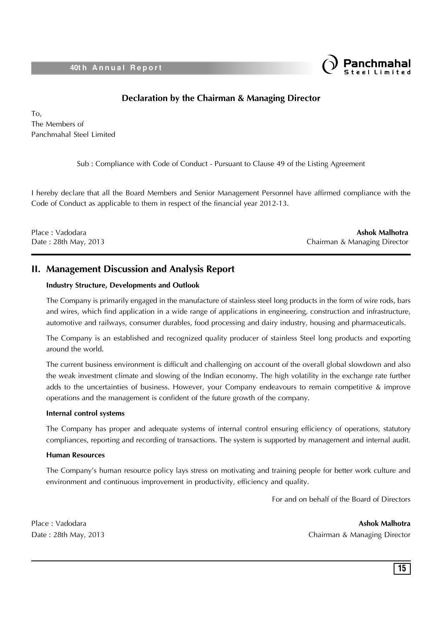

### **Declaration by the Chairman & Managing Director**

To, The Members of Panchmahal Steel Limited

Sub : Compliance with Code of Conduct - Pursuant to Clause 49 of the Listing Agreement

I hereby declare that all the Board Members and Senior Management Personnel have affirmed compliance with the Code of Conduct as applicable to them in respect of the financial year 2012-13.

Place : Vadodara **Ashok Malhotra** Date : 28th May, 2013 Chairman & Managing Director

### **II. Management Discussion and Analysis Report**

### **Industry Structure, Developments and Outlook**

The Company is primarily engaged in the manufacture of stainless steel long products in the form of wire rods, bars and wires, which find application in a wide range of applications in engineering, construction and infrastructure, automotive and railways, consumer durables, food processing and dairy industry, housing and pharmaceuticals.

The Company is an established and recognized quality producer of stainless Steel long products and exporting around the world.

The current business environment is difficult and challenging on account of the overall global slowdown and also the weak investment climate and slowing of the Indian economy. The high volatility in the exchange rate further adds to the uncertainties of business. However, your Company endeavours to remain competitive & improve operations and the management is confident of the future growth of the company.

### **Internal control systems**

The Company has proper and adequate systems of internal control ensuring efficiency of operations, statutory compliances, reporting and recording of transactions. The system is supported by management and internal audit.

### **Human Resources**

The Company's human resource policy lays stress on motivating and training people for better work culture and environment and continuous improvement in productivity, efficiency and quality.

For and on behalf of the Board of Directors

Place : Vadodara **Ashok Malhotra**

Date : 28th May, 2013 Chairman & Managing Director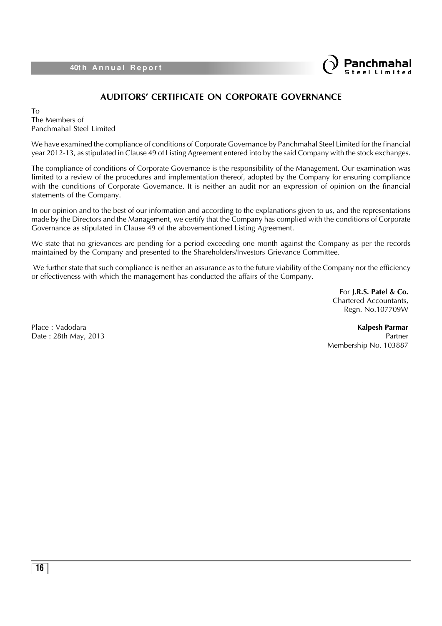

### **AUDITORS' CERTIFICATE ON CORPORATE GOVERNANCE**

To The Members of Panchmahal Steel Limited

We have examined the compliance of conditions of Corporate Governance by Panchmahal Steel Limited for the financial year 2012-13, as stipulated in Clause 49 of Listing Agreement entered into by the said Company with the stock exchanges.

The compliance of conditions of Corporate Governance is the responsibility of the Management. Our examination was limited to a review of the procedures and implementation thereof, adopted by the Company for ensuring compliance with the conditions of Corporate Governance. It is neither an audit nor an expression of opinion on the financial statements of the Company.

In our opinion and to the best of our information and according to the explanations given to us, and the representations made by the Directors and the Management, we certify that the Company has complied with the conditions of Corporate Governance as stipulated in Clause 49 of the abovementioned Listing Agreement.

We state that no grievances are pending for a period exceeding one month against the Company as per the records maintained by the Company and presented to the Shareholders/Investors Grievance Committee.

We further state that such compliance is neither an assurance as to the future viability of the Company nor the efficiency or effectiveness with which the management has conducted the affairs of the Company.

> For **J.R.S. Patel & Co.** Chartered Accountants, Regn. No.107709W

Place : Vadodara **Kalpesh Parmar** Date : 28th May, 2013 Partner Membership No. 103887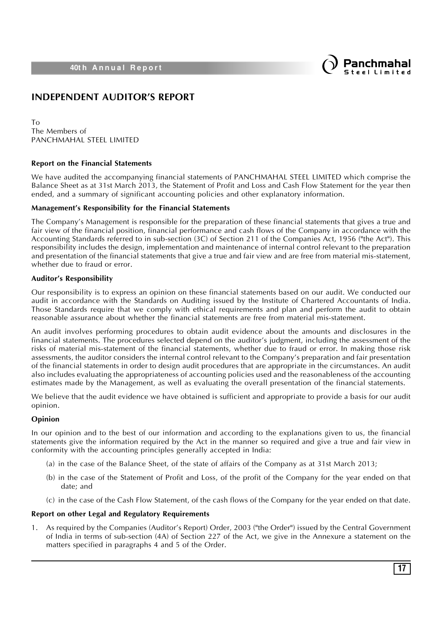

### **INDEPENDENT AUDITOR'S REPORT**

To The Members of PANCHMAHAL STEEL LIMITED

### **Report on the Financial Statements**

We have audited the accompanying financial statements of PANCHMAHAL STEEL LIMITED which comprise the Balance Sheet as at 31st March 2013, the Statement of Profit and Loss and Cash Flow Statement for the year then ended, and a summary of significant accounting policies and other explanatory information.

#### **Management's Responsibility for the Financial Statements**

The Company's Management is responsible for the preparation of these financial statements that gives a true and fair view of the financial position, financial performance and cash flows of the Company in accordance with the Accounting Standards referred to in sub-section (3C) of Section 211 of the Companies Act, 1956 ("the Act"). This responsibility includes the design, implementation and maintenance of internal control relevant to the preparation and presentation of the financial statements that give a true and fair view and are free from material mis-statement, whether due to fraud or error.

### **Auditor's Responsibility**

Our responsibility is to express an opinion on these financial statements based on our audit. We conducted our audit in accordance with the Standards on Auditing issued by the Institute of Chartered Accountants of India. Those Standards require that we comply with ethical requirements and plan and perform the audit to obtain reasonable assurance about whether the financial statements are free from material mis-statement.

An audit involves performing procedures to obtain audit evidence about the amounts and disclosures in the financial statements. The procedures selected depend on the auditor's judgment, including the assessment of the risks of material mis-statement of the financial statements, whether due to fraud or error. In making those risk assessments, the auditor considers the internal control relevant to the Company's preparation and fair presentation of the financial statements in order to design audit procedures that are appropriate in the circumstances. An audit also includes evaluating the appropriateness of accounting policies used and the reasonableness of the accounting estimates made by the Management, as well as evaluating the overall presentation of the financial statements.

We believe that the audit evidence we have obtained is sufficient and appropriate to provide a basis for our audit opinion.

### **Opinion**

In our opinion and to the best of our information and according to the explanations given to us, the financial statements give the information required by the Act in the manner so required and give a true and fair view in conformity with the accounting principles generally accepted in India:

- (a) in the case of the Balance Sheet, of the state of affairs of the Company as at 31st March 2013;
- (b) in the case of the Statement of Profit and Loss, of the profit of the Company for the year ended on that date; and
- (c) in the case of the Cash Flow Statement, of the cash flows of the Company for the year ended on that date.

### **Report on other Legal and Regulatory Requirements**

1. As required by the Companies (Auditor's Report) Order, 2003 ("the Order") issued by the Central Government of India in terms of sub-section (4A) of Section 227 of the Act, we give in the Annexure a statement on the matters specified in paragraphs 4 and 5 of the Order.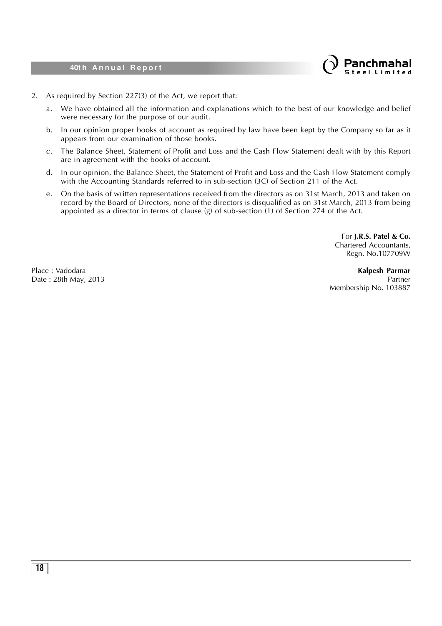

- 2. As required by Section 227(3) of the Act, we report that:
	- a. We have obtained all the information and explanations which to the best of our knowledge and belief were necessary for the purpose of our audit.
	- b. In our opinion proper books of account as required by law have been kept by the Company so far as it appears from our examination of those books.
	- c. The Balance Sheet, Statement of Profit and Loss and the Cash Flow Statement dealt with by this Report are in agreement with the books of account.
	- d. In our opinion, the Balance Sheet, the Statement of Profit and Loss and the Cash Flow Statement comply with the Accounting Standards referred to in sub-section (3C) of Section 211 of the Act.
	- e. On the basis of written representations received from the directors as on 31st March, 2013 and taken on record by the Board of Directors, none of the directors is disqualified as on 31st March, 2013 from being appointed as a director in terms of clause (g) of sub-section (1) of Section 274 of the Act.

For **J.R.S. Patel & Co.** Chartered Accountants, Regn. No.107709W

Place : Vadodara **Kalpesh Parmar** Date : 28th May, 2013 **Partner** Partner **Partner** Partner **Partner** Partner **Partner** Membership No. 103887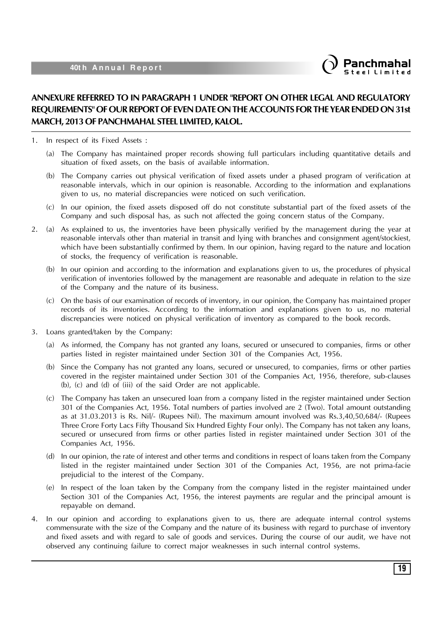

### **ANNEXURE REFERRED TO IN PARAGRAPH 1 UNDER "REPORT ON OTHER LEGAL AND REGULATORY REQUIREMENTS" OF OUR REPORT OF EVEN DATE ON THE ACCOUNTS FOR THE YEAR ENDED ON 31st MARCH, 2013 OF PANCHMAHAL STEEL LIMITED, KALOL.**

1. In respect of its Fixed Assets :

- (a) The Company has maintained proper records showing full particulars including quantitative details and situation of fixed assets, on the basis of available information.
- (b) The Company carries out physical verification of fixed assets under a phased program of verification at reasonable intervals, which in our opinion is reasonable. According to the information and explanations given to us, no material discrepancies were noticed on such verification.
- (c) In our opinion, the fixed assets disposed off do not constitute substantial part of the fixed assets of the Company and such disposal has, as such not affected the going concern status of the Company.
- 2. (a) As explained to us, the inventories have been physically verified by the management during the year at reasonable intervals other than material in transit and lying with branches and consignment agent/stockiest, which have been substantially confirmed by them. In our opinion, having regard to the nature and location of stocks, the frequency of verification is reasonable.
	- (b) In our opinion and according to the information and explanations given to us, the procedures of physical verification of inventories followed by the management are reasonable and adequate in relation to the size of the Company and the nature of its business.
	- (c) On the basis of our examination of records of inventory, in our opinion, the Company has maintained proper records of its inventories. According to the information and explanations given to us, no material discrepancies were noticed on physical verification of inventory as compared to the book records.
- 3. Loans granted/taken by the Company:
	- (a) As informed, the Company has not granted any loans, secured or unsecured to companies, firms or other parties listed in register maintained under Section 301 of the Companies Act, 1956.
	- (b) Since the Company has not granted any loans, secured or unsecured, to companies, firms or other parties covered in the register maintained under Section 301 of the Companies Act, 1956, therefore, sub-clauses (b), (c) and (d) of (iii) of the said Order are not applicable.
	- (c) The Company has taken an unsecured loan from a company listed in the register maintained under Section 301 of the Companies Act, 1956. Total numbers of parties involved are 2 (Two). Total amount outstanding as at 31.03.2013 is Rs. Nil/- (Rupees Nil). The maximum amount involved was Rs.3,40,50,684/- (Rupees Three Crore Forty Lacs Fifty Thousand Six Hundred Eighty Four only). The Company has not taken any loans, secured or unsecured from firms or other parties listed in register maintained under Section 301 of the Companies Act, 1956.
	- (d) In our opinion, the rate of interest and other terms and conditions in respect of loans taken from the Company listed in the register maintained under Section 301 of the Companies Act, 1956, are not prima-facie prejudicial to the interest of the Company.
	- (e) In respect of the loan taken by the Company from the company listed in the register maintained under Section 301 of the Companies Act, 1956, the interest payments are regular and the principal amount is repayable on demand.
- 4. In our opinion and according to explanations given to us, there are adequate internal control systems commensurate with the size of the Company and the nature of its business with regard to purchase of inventory and fixed assets and with regard to sale of goods and services. During the course of our audit, we have not observed any continuing failure to correct major weaknesses in such internal control systems.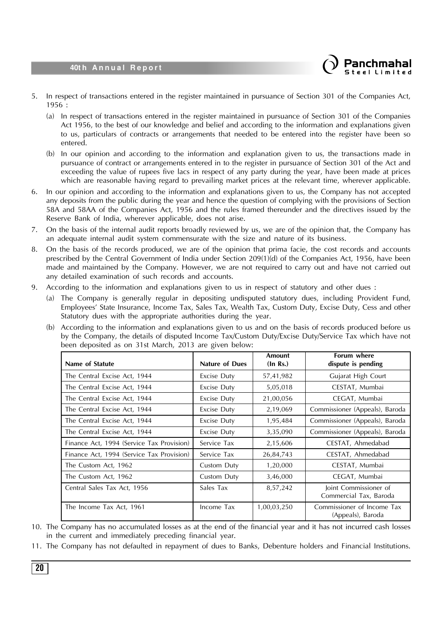

- 5. In respect of transactions entered in the register maintained in pursuance of Section 301 of the Companies Act, 1956 :
	- (a) In respect of transactions entered in the register maintained in pursuance of Section 301 of the Companies Act 1956, to the best of our knowledge and belief and according to the information and explanations given to us, particulars of contracts or arrangements that needed to be entered into the register have been so entered.
	- (b) In our opinion and according to the information and explanation given to us, the transactions made in pursuance of contract or arrangements entered in to the register in pursuance of Section 301 of the Act and exceeding the value of rupees five lacs in respect of any party during the year, have been made at prices which are reasonable having regard to prevailing market prices at the relevant time, wherever applicable.
- 6. In our opinion and according to the information and explanations given to us, the Company has not accepted any deposits from the public during the year and hence the question of complying with the provisions of Section 58A and 58AA of the Companies Act, 1956 and the rules framed thereunder and the directives issued by the Reserve Bank of India, wherever applicable, does not arise.
- 7. On the basis of the internal audit reports broadly reviewed by us, we are of the opinion that, the Company has an adequate internal audit system commensurate with the size and nature of its business.
- 8. On the basis of the records produced, we are of the opinion that prima facie, the cost records and accounts prescribed by the Central Government of India under Section 209(1)(d) of the Companies Act, 1956, have been made and maintained by the Company. However, we are not required to carry out and have not carried out any detailed examination of such records and accounts.
- 9. According to the information and explanations given to us in respect of statutory and other dues :
	- (a) The Company is generally regular in depositing undisputed statutory dues, including Provident Fund, Employees' State Insurance, Income Tax, Sales Tax, Wealth Tax, Custom Duty, Excise Duty, Cess and other Statutory dues with the appropriate authorities during the year.
	- (b) According to the information and explanations given to us and on the basis of records produced before us by the Company, the details of disputed Income Tax/Custom Duty/Excise Duty/Service Tax which have not been deposited as on 31st March, 2013 are given below:

| Name of Statute                           | <b>Nature of Dues</b> | Amount<br>(In Rs.) | <b>Forum where</b><br>dispute is pending        |
|-------------------------------------------|-----------------------|--------------------|-------------------------------------------------|
| The Central Excise Act, 1944              | Excise Duty           | 57,41,982          | Gujarat High Court                              |
| The Central Excise Act, 1944              | Excise Duty           | 5,05,018           | CESTAT, Mumbai                                  |
| The Central Excise Act, 1944              | Excise Duty           | 21,00,056          | CEGAT, Mumbai                                   |
| The Central Excise Act, 1944              | Excise Duty           | 2,19,069           | Commissioner (Appeals), Baroda                  |
| The Central Excise Act, 1944              | Excise Duty           | 1,95,484           | Commissioner (Appeals), Baroda                  |
| The Central Excise Act, 1944              | Excise Duty           | 3,35,090           | Commissioner (Appeals), Baroda                  |
| Finance Act, 1994 (Service Tax Provision) | Service Tax           | 2,15,606           | CESTAT, Ahmedabad                               |
| Finance Act, 1994 (Service Tax Provision) | Service Tax           | 26,84,743          | CESTAT, Ahmedabad                               |
| The Custom Act, 1962                      | Custom Duty           | 1,20,000           | CESTAT, Mumbai                                  |
| The Custom Act, 1962                      | Custom Duty           | 3,46,000           | CEGAT, Mumbai                                   |
| Central Sales Tax Act, 1956               | Sales Tax             | 8,57,242           | Joint Commissioner of<br>Commercial Tax, Baroda |
| The Income Tax Act, 1961                  | Income Tax            | 1,00,03,250        | Commissioner of Income Tax<br>(Appeals), Baroda |

- 10. The Company has no accumulated losses as at the end of the financial year and it has not incurred cash losses in the current and immediately preceding financial year.
- 11. The Company has not defaulted in repayment of dues to Banks, Debenture holders and Financial Institutions.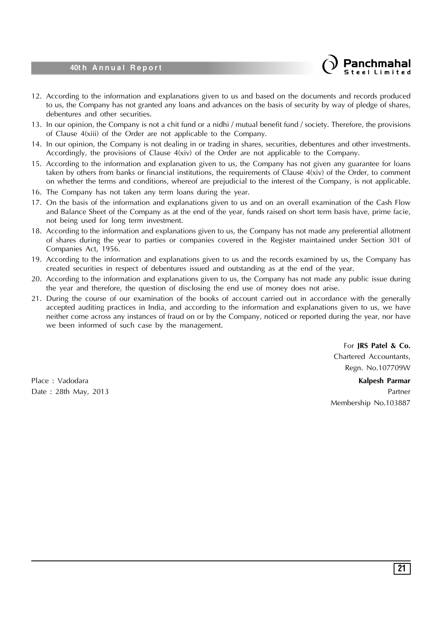

- 12. According to the information and explanations given to us and based on the documents and records produced to us, the Company has not granted any loans and advances on the basis of security by way of pledge of shares, debentures and other securities.
- 13. In our opinion, the Company is not a chit fund or a nidhi / mutual benefit fund / society. Therefore, the provisions of Clause 4(xiii) of the Order are not applicable to the Company.
- 14. In our opinion, the Company is not dealing in or trading in shares, securities, debentures and other investments. Accordingly, the provisions of Clause  $4(xiv)$  of the Order are not applicable to the Company.
- 15. According to the information and explanation given to us, the Company has not given any guarantee for loans taken by others from banks or financial institutions, the requirements of Clause 4(xiv) of the Order, to comment on whether the terms and conditions, whereof are prejudicial to the interest of the Company, is not applicable.
- 16. The Company has not taken any term loans during the year.
- 17. On the basis of the information and explanations given to us and on an overall examination of the Cash Flow and Balance Sheet of the Company as at the end of the year, funds raised on short term basis have, prime facie, not being used for long term investment.
- 18. According to the information and explanations given to us, the Company has not made any preferential allotment of shares during the year to parties or companies covered in the Register maintained under Section 301 of Companies Act, 1956.
- 19. According to the information and explanations given to us and the records examined by us, the Company has created securities in respect of debentures issued and outstanding as at the end of the year.
- 20. According to the information and explanations given to us, the Company has not made any public issue during the year and therefore, the question of disclosing the end use of money does not arise.
- 21. During the course of our examination of the books of account carried out in accordance with the generally accepted auditing practices in India, and according to the information and explanations given to us, we have neither come across any instances of fraud on or by the Company, noticed or reported during the year, nor have we been informed of such case by the management.

For **JRS Patel & Co.** Chartered Accountants, Regn. No.107709W

Place : Vadodara **Kalpesh Parmar** Date : 28th May, 2013 **Partner** Partner **Partner** Partner **Partner** Partner **Partner** Membership No.103887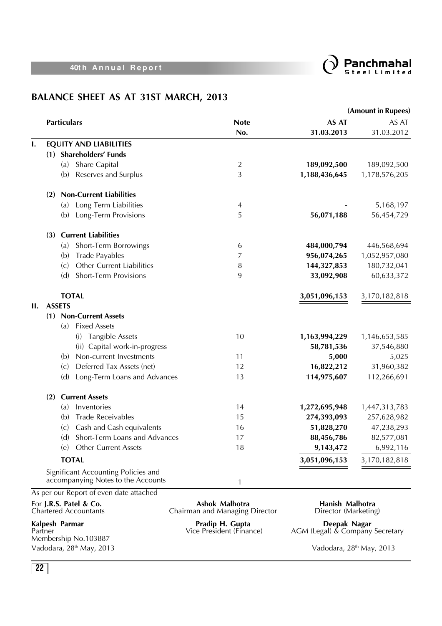

## **BALANCE SHEET AS AT 31ST MARCH, 2013**

|     |                                                        |                                                                           |                                                  |                                         | (Amount in Rupees) |
|-----|--------------------------------------------------------|---------------------------------------------------------------------------|--------------------------------------------------|-----------------------------------------|--------------------|
|     | <b>Particulars</b>                                     |                                                                           | <b>Note</b>                                      | AS AT                                   | AS AT              |
|     |                                                        |                                                                           | No.                                              | 31.03.2013                              | 31.03.2012         |
| Ι.  |                                                        | <b>EQUITY AND LIABILITIES</b>                                             |                                                  |                                         |                    |
|     | (1)                                                    | <b>Shareholders' Funds</b>                                                |                                                  |                                         |                    |
|     | (a)                                                    | Share Capital                                                             | 2                                                | 189,092,500                             | 189,092,500        |
|     | (b)                                                    | Reserves and Surplus                                                      | 3                                                | 1,188,436,645                           | 1,178,576,205      |
|     | (2)                                                    | <b>Non-Current Liabilities</b>                                            |                                                  |                                         |                    |
|     | (a)                                                    | Long Term Liabilities                                                     | 4                                                |                                         | 5,168,197          |
|     | (b)                                                    | Long-Term Provisions                                                      | 5                                                | 56,071,188                              | 56,454,729         |
|     | (3)                                                    | <b>Current Liabilities</b>                                                |                                                  |                                         |                    |
|     | (a)                                                    | Short-Term Borrowings                                                     | 6                                                | 484,000,794                             | 446,568,694        |
|     | (b)                                                    | <b>Trade Payables</b>                                                     | 7                                                | 956,074,265                             | 1,052,957,080      |
|     | (c)                                                    | Other Current Liabilities                                                 | 8                                                | 144,327,853                             | 180,732,041        |
|     | (d)                                                    | <b>Short-Term Provisions</b>                                              | 9                                                | 33,092,908                              | 60,633,372         |
|     | <b>TOTAL</b>                                           |                                                                           |                                                  | 3,051,096,153                           | 3,170,182,818      |
| II. | <b>ASSETS</b>                                          |                                                                           |                                                  |                                         |                    |
|     |                                                        | (1) Non-Current Assets                                                    |                                                  |                                         |                    |
|     | (a)                                                    | <b>Fixed Assets</b>                                                       |                                                  |                                         |                    |
|     |                                                        | <b>Tangible Assets</b><br>(i)                                             | 10                                               | 1,163,994,229                           | 1,146,653,585      |
|     |                                                        | (ii) Capital work-in-progress                                             |                                                  | 58,781,536                              | 37,546,880         |
|     | (b)                                                    | Non-current Investments                                                   | 11                                               | 5,000                                   | 5,025              |
|     | (c)                                                    | Deferred Tax Assets (net)                                                 | 12                                               | 16,822,212                              | 31,960,382         |
|     | (d)                                                    | Long-Term Loans and Advances                                              | 13                                               | 114,975,607                             | 112,266,691        |
|     | (2)                                                    | <b>Current Assets</b>                                                     |                                                  |                                         |                    |
|     | (a)                                                    | Inventories                                                               | 14                                               | 1,272,695,948                           | 1,447,313,783      |
|     | (b)                                                    | <b>Trade Receivables</b>                                                  | 15                                               | 274,393,093                             | 257,628,982        |
|     | (c)                                                    | Cash and Cash equivalents                                                 | 16                                               | 51,828,270                              | 47,238,293         |
|     | (d)                                                    | Short-Term Loans and Advances                                             | 17                                               | 88,456,786                              | 82,577,081         |
|     | (e)                                                    | <b>Other Current Assets</b>                                               | 18                                               | 9,143,472                               | 6,992,116          |
|     | <b>TOTAL</b>                                           |                                                                           |                                                  | 3,051,096,153                           | 3,170,182,818      |
|     |                                                        | Significant Accounting Policies and<br>accompanying Notes to the Accounts | 1                                                |                                         |                    |
|     | For J.R.S. Patel & Co.<br><b>Chartered Accountants</b> | As per our Report of even date attached                                   | Ashok Malhotra<br>Chairman and Managing Director | Hanish Malhotra<br>Director (Marketing) |                    |

Kalpesh Parmar<br>Partner<br>Membership No.103887

**Kalpesh Parmar Pradip H. Gupta Deepak Nagar**

Partner Vice President (Finance) AGM (Legal) & Company Secretary

Vadodara, 28<sup>th</sup> May, 2013 Vadodara, 28<sup>th</sup> May, 2013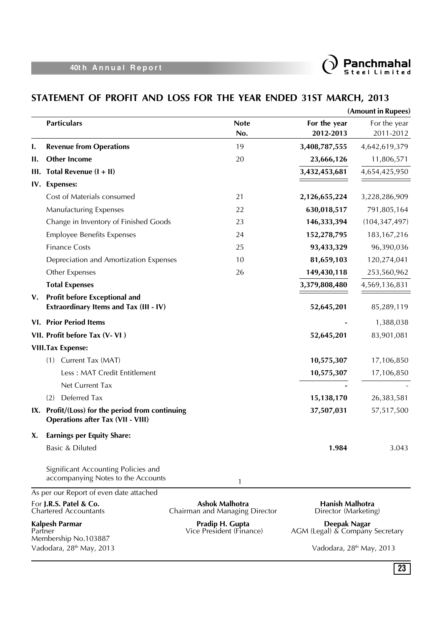

## **STATEMENT OF PROFIT AND LOSS FOR THE YEAR ENDED 31ST MARCH, 2013**

|             |                                                                                              |                                                         |                                                 | (Amount in Rupees) |
|-------------|----------------------------------------------------------------------------------------------|---------------------------------------------------------|-------------------------------------------------|--------------------|
|             | <b>Particulars</b>                                                                           | <b>Note</b>                                             | For the year                                    | For the year       |
|             |                                                                                              | No.                                                     | 2012-2013                                       | 2011-2012          |
| ı.          | <b>Revenue from Operations</b>                                                               | 19                                                      | 3,408,787,555                                   | 4,642,619,379      |
| Н.          | <b>Other Income</b>                                                                          | 20                                                      | 23,666,126                                      | 11,806,571         |
| Ш.          | Total Revenue $(I + II)$                                                                     |                                                         | 3,432,453,681                                   | 4,654,425,950      |
|             | IV. Expenses:                                                                                |                                                         |                                                 |                    |
|             | Cost of Materials consumed                                                                   | 21                                                      | 2,126,655,224                                   | 3,228,286,909      |
|             | <b>Manufacturing Expenses</b>                                                                | 22                                                      | 630,018,517                                     | 791,805,164        |
|             | Change in Inventory of Finished Goods                                                        | 23                                                      | 146,333,394                                     | (104, 347, 497)    |
|             | <b>Employee Benefits Expenses</b>                                                            | 24                                                      | 152,278,795                                     | 183, 167, 216      |
|             | <b>Finance Costs</b>                                                                         | 25                                                      | 93,433,329                                      | 96,390,036         |
|             | Depreciation and Amortization Expenses                                                       | 10                                                      | 81,659,103                                      | 120,274,041        |
|             | Other Expenses                                                                               | 26                                                      | 149,430,118                                     | 253,560,962        |
|             | <b>Total Expenses</b>                                                                        |                                                         | 3,379,808,480                                   | 4,569,136,831      |
| $V_{\star}$ | <b>Profit before Exceptional and</b><br>Extraordinary Items and Tax (III - IV)               |                                                         | 52,645,201                                      | 85,289,119         |
|             | <b>VI. Prior Period Items</b>                                                                |                                                         |                                                 | 1,388,038          |
|             | VII. Profit before Tax (V-VI)                                                                |                                                         | 52,645,201                                      | 83,901,081         |
|             | <b>VIII.Tax Expense:</b>                                                                     |                                                         |                                                 |                    |
|             | Current Tax (MAT)<br>(1)                                                                     |                                                         | 10,575,307                                      | 17,106,850         |
|             | Less: MAT Credit Entitlement                                                                 |                                                         | 10,575,307                                      | 17,106,850         |
|             | Net Current Tax                                                                              |                                                         |                                                 |                    |
|             | Deferred Tax<br>(2)                                                                          |                                                         | 15,138,170                                      | 26,383,581         |
|             | IX. Profit/(Loss) for the period from continuing<br><b>Operations after Tax (VII - VIII)</b> |                                                         | 37,507,031                                      | 57,517,500         |
| X.          | <b>Earnings per Equity Share:</b>                                                            |                                                         |                                                 |                    |
|             | Basic & Diluted                                                                              |                                                         | 1.984                                           | 3.043              |
|             | Significant Accounting Policies and<br>accompanying Notes to the Accounts                    | 1                                                       |                                                 |                    |
|             | As per our Report of even date attached                                                      |                                                         |                                                 |                    |
|             | For J.R.S. Patel & Co.<br><b>Chartered Accountants</b>                                       | <b>Ashok Malhotra</b><br>Chairman and Managing Director | Hanish Malhotra<br>Director (Marketing)         |                    |
|             | Kalpesh Parmar<br>Partner<br>Membership No.103887                                            | Pradip H. Gupta<br>Vice President (Finance)             | Deepak Nagar<br>AGM (Legal) & Company Secretary |                    |

Vadodara, 28<sup>th</sup> May, 2013 Vadodara, 28<sup>th</sup> May, 2013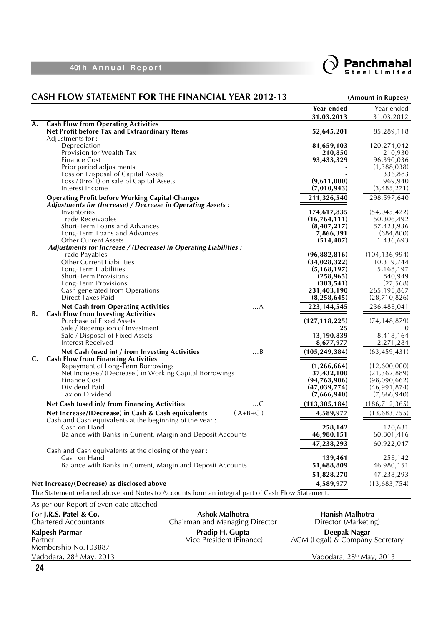



|                                                                                                                  | Year ended      | Year ended      |
|------------------------------------------------------------------------------------------------------------------|-----------------|-----------------|
|                                                                                                                  | 31.03.2013      | 31.03.2012      |
| <b>Cash Flow from Operating Activities</b><br>A.<br>Net Profit before Tax and Extraordinary Items                | 52,645,201      | 85,289,118      |
| Adjustments for:<br>Depreciation                                                                                 | 81,659,103      | 120,274,042     |
| Provision for Wealth Tax                                                                                         | 210,850         | 210,930         |
| <b>Finance Cost</b>                                                                                              | 93,433,329      | 96,390,036      |
| Prior period adjustments                                                                                         |                 | (1,388,038)     |
| Loss on Disposal of Capital Assets                                                                               |                 | 336,883         |
| Loss / (Profit) on sale of Capital Assets                                                                        | (9,611,000)     | 969,940         |
| Interest Income                                                                                                  | (7,010,943)     | (3,485,271)     |
| <b>Operating Profit before Working Capital Changes</b>                                                           | 211,326,540     | 298,597,640     |
| Adjustments for (Increase) / Decrease in Operating Assets :                                                      |                 |                 |
| Inventories                                                                                                      | 174,617,835     | (54, 045, 422)  |
| <b>Trade Receivables</b>                                                                                         | (16, 764, 111)  | 50,306,492      |
| Short-Term Loans and Advances                                                                                    | (8,407,217)     | 57,423,936      |
| Long-Term Loans and Advances                                                                                     | 7,866,391       | (684, 800)      |
| <b>Other Current Assets</b>                                                                                      | (514, 407)      | 1,436,693       |
| Adjustments for Increase / (Decrease) in Operating Liabilities :                                                 |                 |                 |
| <b>Trade Payables</b>                                                                                            | (96,882,816)    | (104, 136, 994) |
| <b>Other Current Liabilities</b>                                                                                 | (34, 028, 322)  | 10,319,744      |
| Long-Term Liabilities                                                                                            | (5, 168, 197)   | 5,168,197       |
| <b>Short-Term Provisions</b>                                                                                     | (258, 965)      | 840,949         |
| Long-Term Provisions                                                                                             | (383, 541)      | (27, 568)       |
| Cash generated from Operations                                                                                   | 231,403,190     | 265,198,867     |
| Direct Taxes Paid                                                                                                | (8, 258, 645)   | (28,710,826)    |
| <b>Net Cash from Operating Activities</b><br>. A                                                                 | 223, 144, 545   | 236,488,041     |
| <b>Cash Flow from Investing Activities</b><br>В.                                                                 |                 |                 |
| Purchase of Fixed Assets                                                                                         | (127, 118, 225) | (74, 148, 879)  |
| Sale / Redemption of Investment                                                                                  | 25              |                 |
| Sale / Disposal of Fixed Assets                                                                                  | 13,190,839      | 8,418,164       |
| <b>Interest Received</b>                                                                                         | 8,677,977       | 2,271,284       |
| Net Cash (used in) / from Investing Activities<br>$\ldots B$<br><b>Cash Flow from Financing Activities</b><br>C. | (105, 249, 384) | (63, 459, 431)  |
| Repayment of Long-Term Borrowings                                                                                | (1, 266, 664)   | (12,600,000)    |
| Net Increase / (Decrease) in Working Capital Borrowings                                                          | 37,432,100      | (21, 362, 889)  |
| <b>Finance Cost</b>                                                                                              | (94, 763, 906)  | (98,090,662)    |
| Dividend Paid                                                                                                    | (47, 039, 774)  | (46,991,874)    |
| Tax on Dividend                                                                                                  | (7,666,940)     | (7,666,940)     |
| Net Cash (used in)/ from Financing Activities<br>. C                                                             | (113, 305, 184) | (186, 712, 365) |
| $(A+B+C)$<br>Net Increase/(Decrease) in Cash & Cash equivalents                                                  | 4,589,977       | (13,683,755)    |
| Cash and Cash equivalents at the beginning of the year:                                                          |                 |                 |
| Cash on Hand                                                                                                     | 258,142         | 120,631         |
| Balance with Banks in Current, Margin and Deposit Accounts                                                       | 46,980,151      | 60,801,416      |
|                                                                                                                  | 47,238,293      | 60,922,047      |
| Cash and Cash equivalents at the closing of the year:                                                            |                 |                 |
| Cash on Hand                                                                                                     | 139,461         | 258,142         |
| Balance with Banks in Current, Margin and Deposit Accounts                                                       | 51,688,809      | 46,980,151      |
|                                                                                                                  | 51,828,270      | 47,238,293      |
| Net Increase/(Decrease) as disclosed above                                                                       | 4,589,977       | (13,683,754)    |
| The Statement referred above and Notes to Accounts form an integral part of Cash Flow Statement.                 |                 |                 |
| As per our Report of even date attached                                                                          |                 |                 |

For **J.R.S. Patel & Co. Ashok Malhotra Hanish Malhotra** Chartered Accountants Chairman and Managing Director Director (Marketing) **Kalpesh Parmar Pradip H. Gupta Deepak Nagar** Partner Vice President (Finance) AGM (Legal) & Company Secretary Membership No.103887 Vadodara, 28<sup>th</sup> May, 2013 Vadodara, 28<sup>th</sup> May, 2013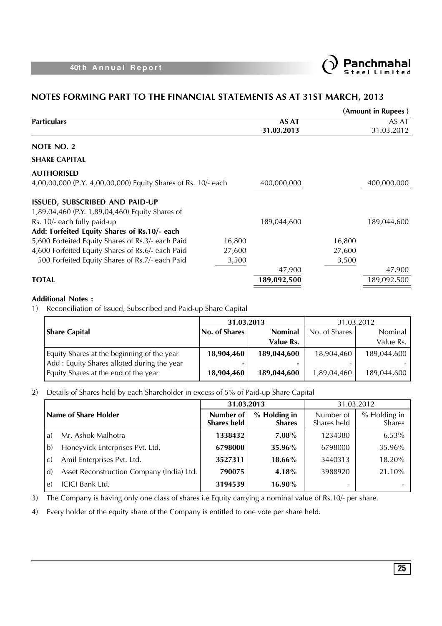

### **NOTES FORMING PART TO THE FINANCIAL STATEMENTS AS AT 31ST MARCH, 2013**

|                                                               |        |              |        | (Amount in Rupees) |
|---------------------------------------------------------------|--------|--------------|--------|--------------------|
| <b>Particulars</b>                                            |        | <b>AS AT</b> |        | AS AT              |
|                                                               |        | 31.03.2013   |        | 31.03.2012         |
| NOTE NO. 2                                                    |        |              |        |                    |
| <b>SHARE CAPITAL</b>                                          |        |              |        |                    |
| <b>AUTHORISED</b>                                             |        |              |        |                    |
| 4,00,00,000 (P.Y. 4,00,00,000) Equity Shares of Rs. 10/- each |        | 400,000,000  |        | 400,000,000        |
| <b>ISSUED, SUBSCRIBED AND PAID-UP</b>                         |        |              |        |                    |
| 1,89,04,460 (P.Y. 1,89,04,460) Equity Shares of               |        |              |        |                    |
| Rs. 10/- each fully paid-up                                   |        | 189,044,600  |        | 189,044,600        |
| Add: Forfeited Equity Shares of Rs.10/- each                  |        |              |        |                    |
| 5,600 Forfeited Equity Shares of Rs.3/- each Paid             | 16,800 |              | 16,800 |                    |
| 4,600 Forfeited Equity Shares of Rs.6/- each Paid             | 27,600 |              | 27,600 |                    |
| 500 Forfeited Equity Shares of Rs.7/- each Paid               | 3,500  |              | 3,500  |                    |
|                                                               |        | 47,900       |        | 47,900             |
| <b>TOTAL</b>                                                  |        | 189,092,500  |        | 189,092,500        |

### **Additional Notes :**

1) Reconciliation of Issued, Subscribed and Paid-up Share Capital

|                                                                                    | 31.03.2013    |                  | 31.03.2012    |                |
|------------------------------------------------------------------------------------|---------------|------------------|---------------|----------------|
| <b>Share Capital</b>                                                               | No. of Shares | <b>Nominal</b>   | No. of Shares | <b>Nominal</b> |
|                                                                                    |               | Value Rs.        |               | Value Rs.      |
| Equity Shares at the beginning of the year                                         | 18,904,460    | 189,044,600      | 18,904,460    | 189,044,600    |
| Add: Equity Shares alloted during the year<br>Equity Shares at the end of the year | 18,904,460    | -<br>189,044,600 | 1,89,04,460   | 189,044,600    |

### 2) Details of Shares held by each Shareholder in excess of 5% of Paid-up Share Capital

|                      |                                           | 31.03.2013                      |                               | 31.03.2012               |                        |
|----------------------|-------------------------------------------|---------------------------------|-------------------------------|--------------------------|------------------------|
| Name of Share Holder |                                           | Number of<br><b>Shares held</b> | % Holding in<br><b>Shares</b> | Number of<br>Shares held | % Holding in<br>Shares |
| a)                   | Mr. Ashok Malhotra                        | 1338432                         | $7.08\%$                      | 1234380                  | 6.53%                  |
| l b)                 | Honeyvick Enterprises Pvt. Ltd.           | 6798000                         | 35.96%                        | 6798000                  | 35.96%                 |
| l c)                 | Amil Enterprises Pvt. Ltd.                | 3527311                         | 18.66%                        | 3440313                  | 18.20%                 |
| l d)                 | Asset Reconstruction Company (India) Ltd. | 790075                          | 4.18%                         | 3988920                  | 21.10%                 |
| e)                   | <b>ICICI Bank Ltd.</b>                    | 3194539                         | 16.90%                        | -                        |                        |

3) The Company is having only one class of shares i.e Equity carrying a nominal value of Rs.10/- per share.

4) Every holder of the equity share of the Company is entitled to one vote per share held.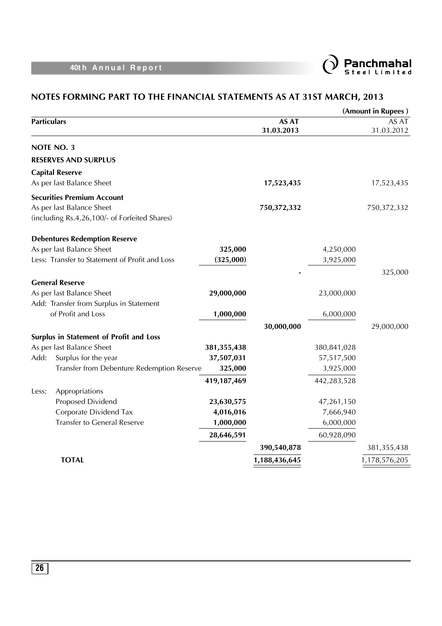

|                                                |             |                            |             | (Amount in Rupees)  |
|------------------------------------------------|-------------|----------------------------|-------------|---------------------|
| <b>Particulars</b>                             |             | <b>AS AT</b><br>31.03.2013 |             | AS AT<br>31.03.2012 |
| NOTE NO. 3                                     |             |                            |             |                     |
| <b>RESERVES AND SURPLUS</b>                    |             |                            |             |                     |
| <b>Capital Reserve</b>                         |             |                            |             |                     |
| As per last Balance Sheet                      |             | 17,523,435                 |             | 17,523,435          |
| <b>Securities Premium Account</b>              |             |                            |             |                     |
| As per last Balance Sheet                      |             | 750,372,332                |             | 750,372,332         |
| (including Rs.4,26,100/- of Forfeited Shares)  |             |                            |             |                     |
| <b>Debentures Redemption Reserve</b>           |             |                            |             |                     |
| As per last Balance Sheet                      | 325,000     |                            | 4,250,000   |                     |
| Less: Transfer to Statement of Profit and Loss | (325,000)   |                            | 3,925,000   |                     |
|                                                |             |                            |             | 325,000             |
| <b>General Reserve</b>                         |             |                            |             |                     |
| As per last Balance Sheet                      | 29,000,000  |                            | 23,000,000  |                     |
| Add: Transfer from Surplus in Statement        |             |                            |             |                     |
| of Profit and Loss                             | 1,000,000   |                            | 6,000,000   |                     |
|                                                |             | 30,000,000                 |             | 29,000,000          |
| Surplus in Statement of Profit and Loss        |             |                            |             |                     |
| As per last Balance Sheet                      | 381,355,438 |                            | 380,841,028 |                     |
| Add:<br>Surplus for the year                   | 37,507,031  |                            | 57,517,500  |                     |
| Transfer from Debenture Redemption Reserve     | 325,000     |                            | 3,925,000   |                     |
|                                                | 419,187,469 |                            | 442,283,528 |                     |
| Appropriations<br>Less:                        |             |                            |             |                     |
| Proposed Dividend                              | 23,630,575  |                            | 47,261,150  |                     |
| Corporate Dividend Tax                         | 4,016,016   |                            | 7,666,940   |                     |
| <b>Transfer to General Reserve</b>             | 1,000,000   |                            | 6,000,000   |                     |
|                                                | 28,646,591  |                            | 60,928,090  |                     |
|                                                |             | 390,540,878                |             | 381, 355, 438       |
| <b>TOTAL</b>                                   |             | 1,188,436,645              |             | 1,178,576,205       |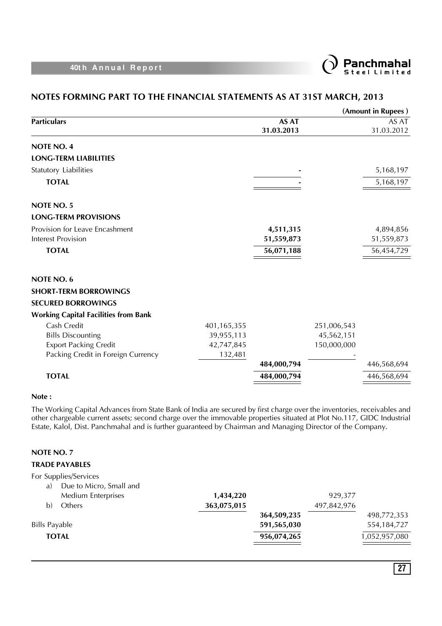

### **NOTES FORMING PART TO THE FINANCIAL STATEMENTS AS AT 31ST MARCH, 2013**

|                                             |             |              |             | (Amount in Rupees) |
|---------------------------------------------|-------------|--------------|-------------|--------------------|
| <b>Particulars</b>                          |             | <b>AS AT</b> |             | AS AT              |
|                                             |             | 31.03.2013   |             | 31.03.2012         |
| <b>NOTE NO. 4</b>                           |             |              |             |                    |
| <b>LONG-TERM LIABILITIES</b>                |             |              |             |                    |
| Statutory Liabilities                       |             |              |             | 5,168,197          |
| <b>TOTAL</b>                                |             |              |             | 5,168,197          |
| <b>NOTE NO. 5</b>                           |             |              |             |                    |
| <b>LONG-TERM PROVISIONS</b>                 |             |              |             |                    |
| Provision for Leave Encashment              |             | 4,511,315    |             | 4,894,856          |
| <b>Interest Provision</b>                   |             | 51,559,873   |             | 51,559,873         |
| <b>TOTAL</b>                                |             | 56,071,188   |             | 56,454,729         |
| <b>NOTE NO. 6</b>                           |             |              |             |                    |
| <b>SHORT-TERM BORROWINGS</b>                |             |              |             |                    |
| <b>SECURED BORROWINGS</b>                   |             |              |             |                    |
| <b>Working Capital Facilities from Bank</b> |             |              |             |                    |
| Cash Credit                                 | 401,165,355 |              | 251,006,543 |                    |
| <b>Bills Discounting</b>                    | 39,955,113  |              | 45,562,151  |                    |
| <b>Export Packing Credit</b>                | 42,747,845  |              | 150,000,000 |                    |
| Packing Credit in Foreign Currency          | 132,481     |              |             |                    |
|                                             |             | 484,000,794  |             | 446,568,694        |
| <b>TOTAL</b>                                |             | 484,000,794  |             | 446,568,694        |
|                                             |             |              |             |                    |

### **Note :**

The Working Capital Advances from State Bank of India are secured by first charge over the inventories, receivables and other chargeable current assets; second charge over the immovable properties situated at Plot No.117, GIDC Industrial Estate, Kalol, Dist. Panchmahal and is further guaranteed by Chairman and Managing Director of the Company.

### **NOTE NO. 7**

### **TRADE PAYABLES**

| For Supplies/Services         |             |             |             |               |
|-------------------------------|-------------|-------------|-------------|---------------|
| Due to Micro, Small and<br>a) |             |             |             |               |
| <b>Medium Enterprises</b>     | 1,434,220   |             | 929,377     |               |
| Others<br>b)                  | 363,075,015 |             | 497,842,976 |               |
|                               |             | 364,509,235 |             | 498,772,353   |
| <b>Bills Payable</b>          |             | 591,565,030 |             | 554, 184, 727 |
| <b>TOTAL</b>                  |             | 956,074,265 |             | 1,052,957,080 |
|                               |             |             |             |               |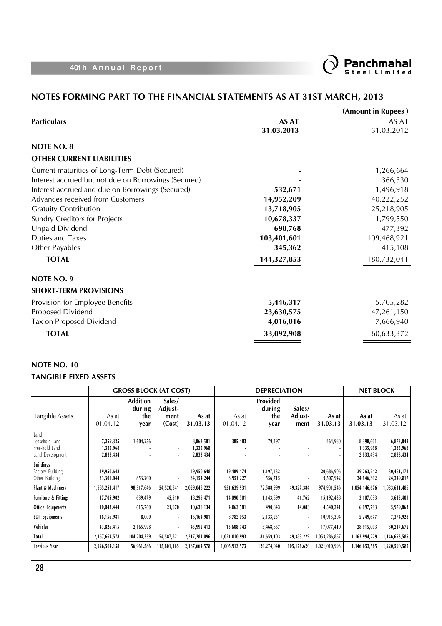

### **NOTES FORMING PART TO THE FINANCIAL STATEMENTS AS AT 31ST MARCH, 2013**

|                                                      |              | (Amount in Rupees) |
|------------------------------------------------------|--------------|--------------------|
| <b>Particulars</b>                                   | <b>AS AT</b> | AS AT              |
|                                                      | 31.03.2013   | 31.03.2012         |
| <b>NOTE NO. 8</b>                                    |              |                    |
| <b>OTHER CURRENT LIABILITIES</b>                     |              |                    |
| Current maturities of Long-Term Debt (Secured)       |              | 1,266,664          |
| Interest accrued but not due on Borrowings (Secured) |              | 366,330            |
| Interest accrued and due on Borrowings (Secured)     | 532,671      | 1,496,918          |
| Advances received from Customers                     | 14,952,209   | 40,222,252         |
| <b>Gratuity Contribution</b>                         | 13,718,905   | 25,218,905         |
| <b>Sundry Creditors for Projects</b>                 | 10,678,337   | 1,799,550          |
| Unpaid Dividend                                      | 698,768      | 477,392            |
| Duties and Taxes                                     | 103,401,601  | 109,468,921        |
| Other Payables                                       | 345,362      | 415,108            |
| <b>TOTAL</b>                                         | 144,327,853  | 180,732,041        |
| <b>NOTE NO. 9</b>                                    |              |                    |
| <b>SHORT-TERM PROVISIONS</b>                         |              |                    |
| Provision for Employee Benefits                      | 5,446,317    | 5,705,282          |
| Proposed Dividend                                    | 23,630,575   | 47,261,150         |
| Tax on Proposed Dividend                             | 4,016,016    | 7,666,940          |
| <b>TOTAL</b>                                         | 33,092,908   | 60,633,372         |
|                                                      |              |                    |

### **NOTE NO. 10 TANGIBLE FIXED ASSETS**

|                                                               | <b>GROSS BLOCK (AT COST)</b>        |                                          | <b>DEPRECIATION</b>                 |                                     |                         | <b>NET BLOCK</b>                  |                           |                         |                                     |                                     |
|---------------------------------------------------------------|-------------------------------------|------------------------------------------|-------------------------------------|-------------------------------------|-------------------------|-----------------------------------|---------------------------|-------------------------|-------------------------------------|-------------------------------------|
| Tangible Assets                                               | As at<br>01.04.12                   | <b>Addition</b><br>during<br>the<br>year | Sales/<br>Adjust-<br>ment<br>(Cost) | As at<br>31.03.13                   | As at<br>01.04.12       | Provided<br>during<br>the<br>year | Sales/<br>Adjust-<br>ment | As at<br>31.03.13       | As at<br>31.03.13                   | As at<br>31.03.12                   |
| Land<br>Leasehold Land<br>Free-hold Land<br>Land Development  | 7,259,325<br>1,335,968<br>2,833,434 | 1,604,256                                | ٠                                   | 8,863,581<br>1,335,968<br>2,833,434 | 385,483                 | 79,497                            | ٠                         | 464,980                 | 8,398,601<br>1,335,968<br>2,833,434 | 6,873,842<br>1,335,968<br>2,833,434 |
| <b>Buildings</b><br><b>Factory Building</b><br>Other Building | 49,950,648<br>33,301,044            | 853,200                                  | ٠                                   | 49,950,648<br>34, 154, 244          | 19,489,474<br>8,951,227 | 1,197,432<br>556,715              | ٠<br>٠                    | 20,686,906<br>9,507,942 | 29,263,742<br>24,646,302            | 30,461,174<br>24,349,817            |
| Plant & Machinery                                             | 1,985,251,417                       | 98,317,646                               | 54,520,841                          | 2,029,048,222                       | 951,639,931             | 72,588,999                        | 49,327,384                | 974,901,546             | 1,054,146,676                       | 1,033,611,486                       |
| <b>Furniture &amp; Fittings</b>                               | 17,705,902                          | 639,479                                  | 45,910                              | 18,299,471                          | 14,090,501              | 1,143,699                         | 41,762                    | 15,192,438              | 3,107,033                           | 3,615,401                           |
| Office Equipments                                             | 10,043,444                          | 615,760                                  | 21,070                              | 10,638,134                          | 4,063,581               | 490,843                           | 14,083                    | 4,540,341               | 6,097,793                           | 5,979,863                           |
| <b>EDP</b> Equipments                                         | 16,156,981                          | 8,000                                    | $\sim$                              | 16,164,981                          | 8,782,053               | 2,133,251                         | ٠                         | 10,915,304              | 5,249,677                           | 7,374,928                           |
| Vehicles                                                      | 43,826,415                          | 2,165,998                                |                                     | 45,992,413                          | 13,608,743              | 3,468,667                         | ٠                         | 17,077,410              | 28,915,003                          | 30,217,672                          |
| Total                                                         | 2,167,664,578                       | 104,204,339                              | 54,587,821                          | 2,217,281,096                       | 1,021,010,993           | 81,659,103                        | 49,383,229                | 1,053,286,867           | 1,163,994,229                       | 1,146,653,585                       |
| <b>Previous Year</b>                                          | 2,226,504,158                       | 56,961,586                               | 115,801,165                         | 2,167,664,578                       | 1,005,913,573           | 120,274,040                       | 105,176,620               | 1,021,010,993           | 1,146,653,585                       | 1,220,590,585                       |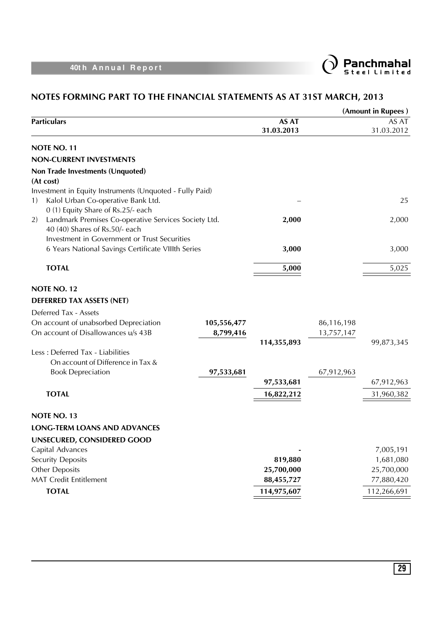



|    |                                                                                                    |             |                            |            | (Amount in Rupees)  |
|----|----------------------------------------------------------------------------------------------------|-------------|----------------------------|------------|---------------------|
|    | <b>Particulars</b>                                                                                 |             | <b>AS AT</b><br>31.03.2013 |            | AS AT<br>31.03.2012 |
|    | NOTE NO. 11                                                                                        |             |                            |            |                     |
|    | <b>NON-CURRENT INVESTMENTS</b>                                                                     |             |                            |            |                     |
|    | Non Trade Investments (Unquoted)                                                                   |             |                            |            |                     |
|    | (At cost)                                                                                          |             |                            |            |                     |
|    | Investment in Equity Instruments (Unquoted - Fully Paid)                                           |             |                            |            |                     |
| 1) | Kalol Urban Co-operative Bank Ltd.                                                                 |             |                            |            | 25                  |
|    | 0 (1) Equity Share of Rs.25/- each                                                                 |             |                            |            |                     |
| 2) | Landmark Premises Co-operative Services Society Ltd.                                               |             | 2,000                      |            | 2,000               |
|    | 40 (40) Shares of Rs.50/- each                                                                     |             |                            |            |                     |
|    | Investment in Government or Trust Securities<br>6 Years National Savings Certificate VIIIth Series |             | 3,000                      |            | 3,000               |
|    |                                                                                                    |             |                            |            |                     |
|    | <b>TOTAL</b>                                                                                       |             | 5,000                      |            | 5,025               |
|    | NOTE NO. 12                                                                                        |             |                            |            |                     |
|    |                                                                                                    |             |                            |            |                     |
|    | <b>DEFERRED TAX ASSETS (NET)</b>                                                                   |             |                            |            |                     |
|    | Deferred Tax - Assets                                                                              |             |                            |            |                     |
|    | On account of unabsorbed Depreciation                                                              | 105,556,477 |                            | 86,116,198 |                     |
|    | On account of Disallowances u/s 43B                                                                | 8,799,416   | 114,355,893                | 13,757,147 | 99,873,345          |
|    | Less : Deferred Tax - Liabilities                                                                  |             |                            |            |                     |
|    | On account of Difference in Tax &                                                                  |             |                            |            |                     |
|    | <b>Book Depreciation</b>                                                                           | 97,533,681  |                            | 67,912,963 |                     |
|    |                                                                                                    |             | 97,533,681                 |            | 67,912,963          |
|    | <b>TOTAL</b>                                                                                       |             | 16,822,212                 |            | 31,960,382          |
|    |                                                                                                    |             |                            |            |                     |
|    | NOTE NO. 13                                                                                        |             |                            |            |                     |
|    | <b>LONG-TERM LOANS AND ADVANCES</b>                                                                |             |                            |            |                     |
|    | UNSECURED, CONSIDERED GOOD                                                                         |             |                            |            |                     |
|    | Capital Advances                                                                                   |             |                            |            | 7,005,191           |
|    | <b>Security Deposits</b>                                                                           |             | 819,880                    |            | 1,681,080           |
|    | <b>Other Deposits</b>                                                                              |             | 25,700,000                 |            | 25,700,000          |
|    | <b>MAT Credit Entitlement</b>                                                                      |             | 88,455,727                 |            | 77,880,420          |
|    | <b>TOTAL</b>                                                                                       |             | 114,975,607                |            | 112,266,691         |
|    |                                                                                                    |             |                            |            |                     |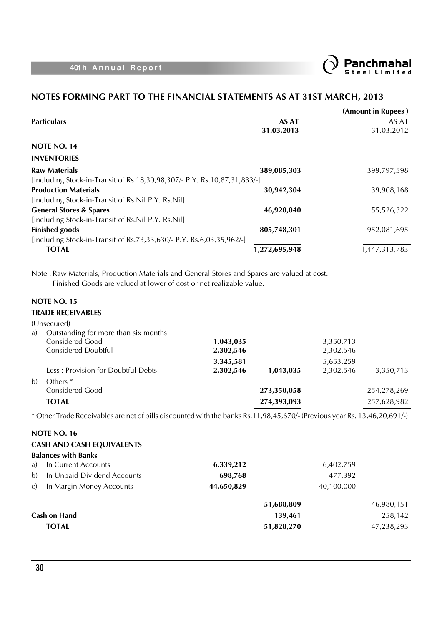

### **NOTES FORMING PART TO THE FINANCIAL STATEMENTS AS AT 31ST MARCH, 2013**

|              |                                                                                                                                 |                        |                            |                        | (Amount in Rupees)  |
|--------------|---------------------------------------------------------------------------------------------------------------------------------|------------------------|----------------------------|------------------------|---------------------|
|              | <b>Particulars</b>                                                                                                              |                        | <b>AS AT</b><br>31.03.2013 |                        | AS AT<br>31.03.2012 |
|              | NOTE NO. 14                                                                                                                     |                        |                            |                        |                     |
|              | <b>INVENTORIES</b>                                                                                                              |                        |                            |                        |                     |
|              | <b>Raw Materials</b>                                                                                                            |                        | 389,085,303                |                        | 399,797,598         |
|              | [Including Stock-in-Transit of Rs.18,30,98,307/- P.Y. Rs.10,87,31,833/-]                                                        |                        |                            |                        |                     |
|              | <b>Production Materials</b>                                                                                                     |                        | 30,942,304                 |                        | 39,908,168          |
|              | [Including Stock-in-Transit of Rs.Nil P.Y. Rs.Nil]                                                                              |                        |                            |                        |                     |
|              | <b>General Stores &amp; Spares</b>                                                                                              |                        | 46,920,040                 |                        | 55,526,322          |
|              | [Including Stock-in-Transit of Rs.Nil P.Y. Rs.Nil]                                                                              |                        |                            |                        |                     |
|              | <b>Finished goods</b>                                                                                                           |                        | 805,748,301                |                        | 952,081,695         |
|              | [Including Stock-in-Transit of Rs.73,33,630/- P.Y. Rs.6,03,35,962/-]<br><b>TOTAL</b>                                            |                        |                            |                        |                     |
|              |                                                                                                                                 |                        | 1,272,695,948              |                        | 1,447,313,783       |
| a)           | <b>NOTE NO. 15</b><br><b>TRADE RECEIVABLES</b><br>(Unsecured)<br>Outstanding for more than six months<br><b>Considered Good</b> | 1,043,035              |                            | 3,350,713              |                     |
|              | <b>Considered Doubtful</b>                                                                                                      | 2,302,546<br>3,345,581 |                            | 2,302,546<br>5,653,259 |                     |
|              | Less: Provision for Doubtful Debts                                                                                              | 2,302,546              | 1,043,035                  | 2,302,546              | 3,350,713           |
| b)           | Others <sup>*</sup>                                                                                                             |                        |                            |                        |                     |
|              | <b>Considered Good</b>                                                                                                          |                        | 273,350,058                |                        | 254,278,269         |
|              | <b>TOTAL</b>                                                                                                                    |                        | 274,393,093                |                        | 257,628,982         |
|              | * Other Trade Receivables are net of bills discounted with the banks Rs.11,98,45,670/- (Previous year Rs. 13,46,20,691/-)       |                        |                            |                        |                     |
|              |                                                                                                                                 |                        |                            |                        |                     |
|              | <b>NOTE NO. 16</b>                                                                                                              |                        |                            |                        |                     |
|              | <b>CASH AND CASH EQUIVALENTS</b>                                                                                                |                        |                            |                        |                     |
|              | <b>Balances with Banks</b>                                                                                                      |                        |                            |                        |                     |
| a)           | In Current Accounts                                                                                                             | 6,339,212              |                            | 6,402,759              |                     |
| b)           | In Unpaid Dividend Accounts                                                                                                     | 698,768                |                            | 477,392                |                     |
| $\mathbf{C}$ | In Margin Money Accounts                                                                                                        | 44,650,829             |                            | 40,100,000             |                     |

| Cash on Hand | 139,461    | 258,142    |
|--------------|------------|------------|
| <b>TOTAL</b> | 51,828,270 | 47,238,293 |

**51,688,809** 46,980,151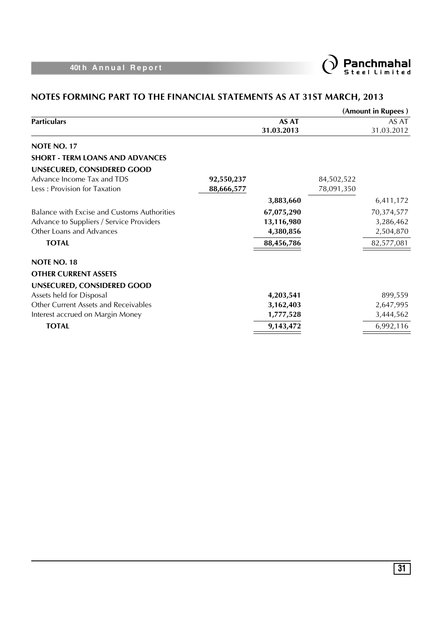

|                                                                                                                     |                          |                                       |                          | (Amount in Rupees)                   |
|---------------------------------------------------------------------------------------------------------------------|--------------------------|---------------------------------------|--------------------------|--------------------------------------|
| <b>Particulars</b>                                                                                                  |                          | <b>AS AT</b><br>31.03.2013            |                          | AS AT<br>31.03.2012                  |
| NOTE NO. 17                                                                                                         |                          |                                       |                          |                                      |
| <b>SHORT - TERM LOANS AND ADVANCES</b>                                                                              |                          |                                       |                          |                                      |
| UNSECURED, CONSIDERED GOOD                                                                                          |                          |                                       |                          |                                      |
| Advance Income Tax and TDS<br>Less: Provision for Taxation                                                          | 92,550,237<br>88,666,577 |                                       | 84,502,522<br>78,091,350 |                                      |
|                                                                                                                     |                          | 3,883,660                             |                          | 6,411,172                            |
| Balance with Excise and Customs Authorities<br>Advance to Suppliers / Service Providers<br>Other Loans and Advances |                          | 67,075,290<br>13,116,980<br>4,380,856 |                          | 70,374,577<br>3,286,462<br>2,504,870 |
| <b>TOTAL</b>                                                                                                        |                          | 88,456,786                            |                          | 82,577,081                           |
| <b>NOTE NO. 18</b>                                                                                                  |                          |                                       |                          |                                      |
| <b>OTHER CURRENT ASSETS</b>                                                                                         |                          |                                       |                          |                                      |
| UNSECURED, CONSIDERED GOOD                                                                                          |                          |                                       |                          |                                      |
| Assets held for Disposal                                                                                            |                          | 4,203,541                             |                          | 899,559                              |
| Other Current Assets and Receivables                                                                                |                          | 3,162,403                             |                          | 2,647,995                            |
| Interest accrued on Margin Money                                                                                    |                          | 1,777,528                             |                          | 3,444,562                            |
| <b>TOTAL</b>                                                                                                        |                          | 9,143,472                             |                          | 6,992,116                            |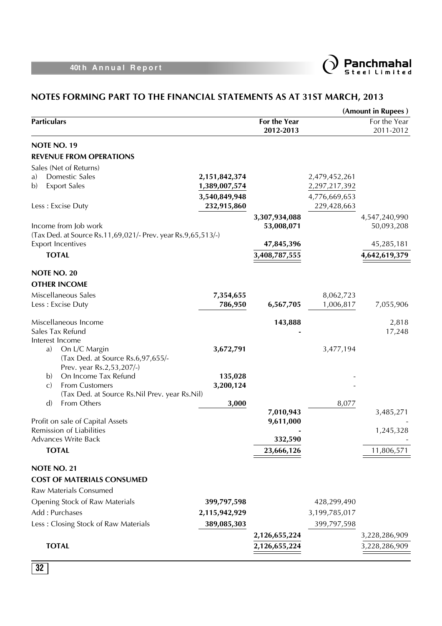

|                                                                    |                  |                             |               | (Amount in Rupees)          |
|--------------------------------------------------------------------|------------------|-----------------------------|---------------|-----------------------------|
| <b>Particulars</b>                                                 |                  | For the Year<br>2012-2013   |               | For the Year<br>2011-2012   |
| <b>NOTE NO. 19</b>                                                 |                  |                             |               |                             |
| <b>REVENUE FROM OPERATIONS</b>                                     |                  |                             |               |                             |
| Sales (Net of Returns)                                             |                  |                             |               |                             |
| Domestic Sales<br>a)                                               | 2, 151, 842, 374 |                             | 2,479,452,261 |                             |
| <b>Export Sales</b><br>b)                                          | 1,389,007,574    |                             | 2,297,217,392 |                             |
|                                                                    | 3,540,849,948    |                             | 4,776,669,653 |                             |
| Less: Excise Duty                                                  | 232,915,860      |                             | 229,428,663   |                             |
| Income from Job work                                               |                  | 3,307,934,088<br>53,008,071 |               | 4,547,240,990<br>50,093,208 |
| (Tax Ded. at Source Rs. 11, 69, 021/- Prev. year Rs. 9, 65, 513/-) |                  |                             |               |                             |
| <b>Export Incentives</b>                                           |                  | 47,845,396                  |               | 45,285,181                  |
| <b>TOTAL</b>                                                       |                  | 3,408,787,555               |               | 4,642,619,379               |
| <b>NOTE NO. 20</b>                                                 |                  |                             |               |                             |
| <b>OTHER INCOME</b>                                                |                  |                             |               |                             |
| Miscellaneous Sales                                                | 7,354,655        |                             | 8,062,723     |                             |
| Less: Excise Duty                                                  | 786,950          | 6,567,705                   | 1,006,817     | 7,055,906                   |
| Miscellaneous Income                                               |                  | 143,888                     |               | 2,818                       |
| Sales Tax Refund                                                   |                  |                             |               | 17,248                      |
| Interest Income                                                    |                  |                             |               |                             |
| On L/C Margin<br>a)<br>(Tax Ded. at Source Rs.6,97,655/-           | 3,672,791        |                             | 3,477,194     |                             |
| Prev. year Rs.2,53,207/-)                                          |                  |                             |               |                             |
| On Income Tax Refund<br>b)                                         | 135,028          |                             |               |                             |
| <b>From Customers</b><br>$\mathcal{C}$                             | 3,200,124        |                             |               |                             |
| (Tax Ded. at Source Rs. Nil Prev. year Rs. Nil)                    |                  |                             |               |                             |
| From Others<br>$\mathbf{d}$                                        | 3,000            | 7,010,943                   | 8,077         | 3,485,271                   |
| Profit on sale of Capital Assets                                   |                  | 9,611,000                   |               |                             |
| Remission of Liabilities                                           |                  |                             |               | 1,245,328                   |
| <b>Advances Write Back</b>                                         |                  | 332,590                     |               |                             |
| <b>TOTAL</b>                                                       |                  | 23,666,126                  |               | 11,806,571                  |
| NOTE NO. 21                                                        |                  |                             |               |                             |
| <b>COST OF MATERIALS CONSUMED</b>                                  |                  |                             |               |                             |
| Raw Materials Consumed                                             |                  |                             |               |                             |
| Opening Stock of Raw Materials                                     | 399,797,598      |                             | 428,299,490   |                             |
| Add: Purchases                                                     | 2,115,942,929    |                             | 3,199,785,017 |                             |
| Less: Closing Stock of Raw Materials                               | 389,085,303      |                             | 399,797,598   |                             |
|                                                                    |                  | 2,126,655,224               |               | 3,228,286,909               |
| <b>TOTAL</b>                                                       |                  | 2,126,655,224               |               | 3,228,286,909               |
|                                                                    |                  |                             |               |                             |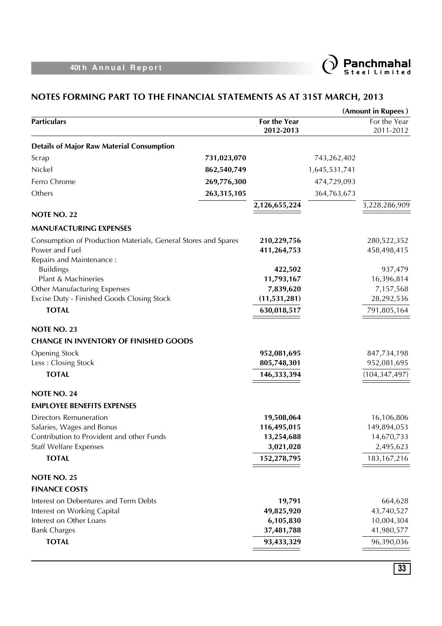

|                                                                |             |                           |               | (Amount in Rupees)         |
|----------------------------------------------------------------|-------------|---------------------------|---------------|----------------------------|
| <b>Particulars</b>                                             |             | For the Year<br>2012-2013 |               | For the Year<br>2011-2012  |
| <b>Details of Major Raw Material Consumption</b>               |             |                           |               |                            |
| Scrap                                                          | 731,023,070 |                           | 743,262,402   |                            |
| Nickel                                                         | 862,540,749 |                           | 1,645,531,741 |                            |
| Ferro Chrome                                                   | 269,776,300 |                           | 474,729,093   |                            |
| Others                                                         | 263,315,105 |                           | 364,763,673   |                            |
|                                                                |             | 2,126,655,224             |               | 3,228,286,909              |
| NOTE NO. 22                                                    |             |                           |               |                            |
| <b>MANUFACTURING EXPENSES</b>                                  |             |                           |               |                            |
| Consumption of Production Materials, General Stores and Spares |             | 210,229,756               |               | 280,522,352                |
| Power and Fuel                                                 |             | 411,264,753               |               | 458,498,415                |
| Repairs and Maintenance:                                       |             |                           |               |                            |
| <b>Buildings</b>                                               |             | 422,502                   |               | 937,479                    |
| Plant & Machineries<br>Other Manufacturing Expenses            |             | 11,793,167<br>7,839,620   |               | 16,396,814<br>7,157,568    |
| Excise Duty - Finished Goods Closing Stock                     |             | (11, 531, 281)            |               | 28,292,536                 |
| <b>TOTAL</b>                                                   |             | 630,018,517               |               | 791,805,164                |
|                                                                |             |                           |               |                            |
| <b>NOTE NO. 23</b>                                             |             |                           |               |                            |
| <b>CHANGE IN INVENTORY OF FINISHED GOODS</b>                   |             |                           |               |                            |
| <b>Opening Stock</b>                                           |             | 952,081,695               |               | 847,734,198<br>952,081,695 |
| Less: Closing Stock                                            |             | 805,748,301               |               |                            |
| <b>TOTAL</b>                                                   |             | 146,333,394               |               | (104, 347, 497)            |
| NOTE NO. 24                                                    |             |                           |               |                            |
| <b>EMPLOYEE BENEFITS EXPENSES</b>                              |             |                           |               |                            |
| <b>Directors Remuneration</b>                                  |             | 19,508,064                |               | 16,106,806                 |
| Salaries, Wages and Bonus                                      |             | 116,495,015               |               | 149,894,053                |
| Contribution to Provident and other Funds                      |             | 13,254,688                |               | 14,670,733                 |
| <b>Staff Welfare Expenses</b>                                  |             | 3,021,028                 |               | 2,495,623                  |
| <b>TOTAL</b>                                                   |             | 152,278,795               |               | 183, 167, 216              |
| NOTE NO. 25                                                    |             |                           |               |                            |
| <b>FINANCE COSTS</b>                                           |             |                           |               |                            |
| Interest on Debentures and Term Debts                          |             | 19,791                    |               | 664,628                    |
| Interest on Working Capital                                    |             | 49,825,920                |               | 43,740,527                 |
| Interest on Other Loans                                        |             | 6,105,830                 |               | 10,004,304                 |
| <b>Bank Charges</b>                                            |             | 37,481,788                |               | 41,980,577                 |
| <b>TOTAL</b>                                                   |             | 93,433,329                |               | 96,390,036                 |
|                                                                |             |                           |               |                            |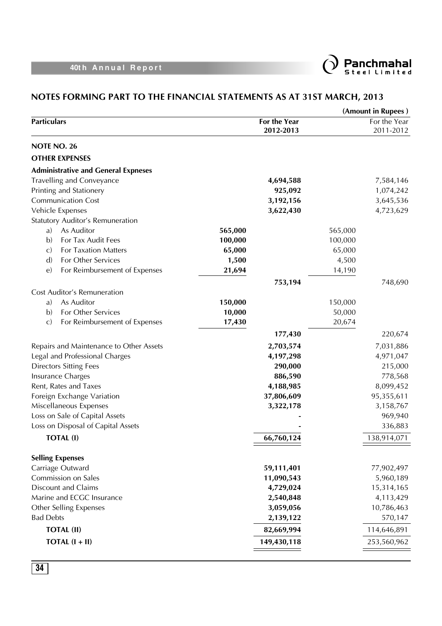

|                                               |         |              |         | (Amount in Rupees) |
|-----------------------------------------------|---------|--------------|---------|--------------------|
| <b>Particulars</b>                            |         | For the Year |         | For the Year       |
|                                               |         | 2012-2013    |         | 2011-2012          |
| NOTE NO. 26                                   |         |              |         |                    |
| <b>OTHER EXPENSES</b>                         |         |              |         |                    |
| <b>Administrative and General Expneses</b>    |         |              |         |                    |
| <b>Travelling and Conveyance</b>              |         | 4,694,588    |         | 7,584,146          |
| Printing and Stationery                       |         | 925,092      |         | 1,074,242          |
| <b>Communication Cost</b>                     |         | 3,192,156    |         | 3,645,536          |
| Vehicle Expenses                              |         | 3,622,430    |         | 4,723,629          |
| Statutory Auditor's Remuneration              |         |              |         |                    |
| As Auditor<br>a)                              | 565,000 |              | 565,000 |                    |
| $\mathbf{b}$<br>For Tax Audit Fees            | 100,000 |              | 100,000 |                    |
| For Taxation Matters<br>$\mathbf{C}$          | 65,000  |              | 65,000  |                    |
| $\mathbf{d}$<br>For Other Services            | 1,500   |              | 4,500   |                    |
| For Reimbursement of Expenses<br>$\epsilon$   | 21,694  |              | 14,190  |                    |
|                                               |         | 753,194      |         | 748,690            |
| <b>Cost Auditor's Remuneration</b>            |         |              |         |                    |
| As Auditor<br>a)                              | 150,000 |              | 150,000 |                    |
| $\mathbf{b}$<br>For Other Services            | 10,000  |              | 50,000  |                    |
| $\mathbf{C}$<br>For Reimbursement of Expenses | 17,430  |              | 20,674  |                    |
|                                               |         | 177,430      |         | 220,674            |
| Repairs and Maintenance to Other Assets       |         | 2,703,574    |         | 7,031,886          |
| Legal and Professional Charges                |         | 4,197,298    |         | 4,971,047          |
| <b>Directors Sitting Fees</b>                 |         | 290,000      |         | 215,000            |
| Insurance Charges                             |         | 886,590      |         | 778,568            |
| Rent, Rates and Taxes                         |         | 4,188,985    |         | 8,099,452          |
| Foreign Exchange Variation                    |         | 37,806,609   |         | 95,355,611         |
| Miscellaneous Expenses                        |         | 3,322,178    |         | 3,158,767          |
| Loss on Sale of Capital Assets                |         |              |         | 969,940            |
| Loss on Disposal of Capital Assets            |         |              |         | 336,883            |
| <b>TOTAL (I)</b>                              |         | 66,760,124   |         | 138,914,071        |
| <b>Selling Expenses</b>                       |         |              |         |                    |
| Carriage Outward                              |         | 59,111,401   |         | 77,902,497         |
| Commission on Sales                           |         | 11,090,543   |         | 5,960,189          |
| <b>Discount and Claims</b>                    |         | 4,729,024    |         | 15,314,165         |
| Marine and ECGC Insurance                     |         | 2,540,848    |         | 4,113,429          |
| Other Selling Expenses                        |         | 3,059,056    |         | 10,786,463         |
| <b>Bad Debts</b>                              |         | 2,139,122    |         | 570,147            |
| <b>TOTAL (II)</b>                             |         | 82,669,994   |         | 114,646,891        |
| TOTAL $(I + II)$                              |         | 149,430,118  |         | 253,560,962        |
|                                               |         |              |         |                    |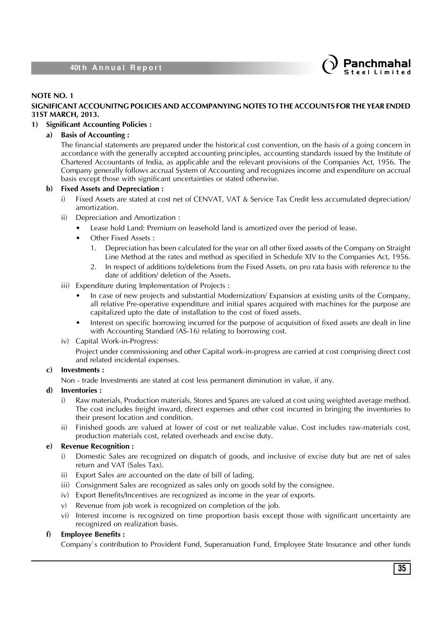

### **NOTE NO. 1**

### **SIGNIFICANT ACCOUNITNG POLICIES AND ACCOMPANYING NOTES TO THE ACCOUNTS FOR THE YEAR ENDED 31ST MARCH, 2013.**

### **1) Significant Accounting Policies :**

### **a) Basis of Accounting :**

The financial statements are prepared under the historical cost convention, on the basis of a going concern in accordance with the generally accepted accounting principles, accounting standards issued by the Institute of Chartered Accountants of India, as applicable and the relevant provisions of the Companies Act, 1956. The Company generally follows accrual System of Accounting and recognizes income and expenditure on accrual basis except those with significant uncertainties or stated otherwise.

### **b) Fixed Assets and Depreciation :**

- i) Fixed Assets are stated at cost net of CENVAT, VAT & Service Tax Credit less accumulated depreciation/ amortization.
- ii) Depreciation and Amortization :
	- Lease hold Land: Premium on leasehold land is amortized over the period of lease.
	- Other Fixed Assets :
		- 1. Depreciation has been calculated for the year on all other fixed assets of the Company on Straight Line Method at the rates and method as specified in Schedule XIV to the Companies Act, 1956.
		- 2. In respect of additions to/deletions from the Fixed Assets, on pro rata basis with reference to the date of addition/ deletion of the Assets.
- iii) Expenditure during Implementation of Projects :
	- In case of new projects and substantial Modernization/ Expansion at existing units of the Company, all relative Pre-operative expenditure and initial spares acquired with machines for the purpose are capitalized upto the date of installation to the cost of fixed assets.
	- Interest on specific borrowing incurred for the purpose of acquisition of fixed assets are dealt in line with Accounting Standard (AS-16) relating to borrowing cost.
- iv) Capital Work-in-Progress:

Project under commissioning and other Capital work-in-progress are carried at cost comprising direct cost and related incidental expenses.

### **c) Investments :**

Non - trade Investments are stated at cost less permanent diminution in value, if any.

### **d) Inventories :**

- i) Raw materials, Production materials, Stores and Spares are valued at cost using weighted average method. The cost includes freight inward, direct expenses and other cost incurred in bringing the inventories to their present location and condition.
- ii) Finished goods are valued at lower of cost or net realizable value. Cost includes raw-materials cost, production materials cost, related overheads and excise duty.

### **e) Revenue Recognition :**

- i) Domestic Sales are recognized on dispatch of goods, and inclusive of excise duty but are net of sales return and VAT (Sales Tax).
- ii) Export Sales are accounted on the date of bill of lading.
- iii) Consignment Sales are recognized as sales only on goods sold by the consignee.
- iv) Export Benefits/Incentives are recognized as income in the year of exports.
- v) Revenue from job work is recognized on completion of the job.
- vi) Interest income is recognized on time proportion basis except those with significant uncertainty are recognized on realization basis.

### **f) Employee Benefits :**

Company`s contribution to Provident Fund, Superanuation Fund, Employee State Insurance and other funds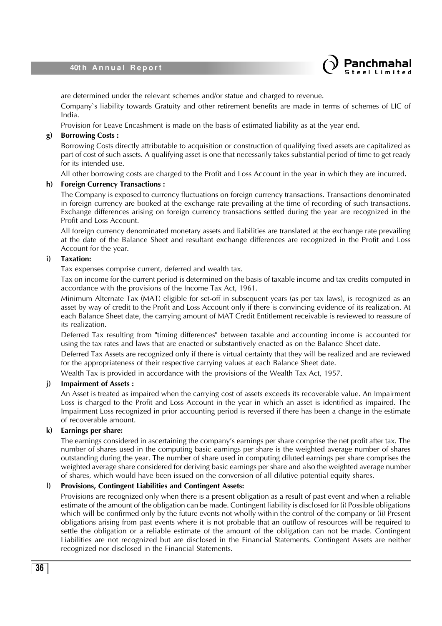

are determined under the relevant schemes and/or statue and charged to revenue.

Company`s liability towards Gratuity and other retirement benefits are made in terms of schemes of LIC of India.

Provision for Leave Encashment is made on the basis of estimated liability as at the year end.

#### **g) Borrowing Costs :**

Borrowing Costs directly attributable to acquisition or construction of qualifying fixed assets are capitalized as part of cost of such assets. A qualifying asset is one that necessarily takes substantial period of time to get ready for its intended use.

All other borrowing costs are charged to the Profit and Loss Account in the year in which they are incurred.

#### **h) Foreign Currency Transactions :**

The Company is exposed to currency fluctuations on foreign currency transactions. Transactions denominated in foreign currency are booked at the exchange rate prevailing at the time of recording of such transactions. Exchange differences arising on foreign currency transactions settled during the year are recognized in the Profit and Loss Account.

All foreign currency denominated monetary assets and liabilities are translated at the exchange rate prevailing at the date of the Balance Sheet and resultant exchange differences are recognized in the Profit and Loss Account for the year.

### **i) Taxation:**

Tax expenses comprise current, deferred and wealth tax.

Tax on income for the current period is determined on the basis of taxable income and tax credits computed in accordance with the provisions of the Income Tax Act, 1961.

Minimum Alternate Tax (MAT) eligible for set-off in subsequent years (as per tax laws), is recognized as an asset by way of credit to the Profit and Loss Account only if there is convincing evidence of its realization. At each Balance Sheet date, the carrying amount of MAT Credit Entitlement receivable is reviewed to reassure of its realization.

Deferred Tax resulting from "timing differences" between taxable and accounting income is accounted for using the tax rates and laws that are enacted or substantively enacted as on the Balance Sheet date.

Deferred Tax Assets are recognized only if there is virtual certainty that they will be realized and are reviewed for the appropriateness of their respective carrying values at each Balance Sheet date.

Wealth Tax is provided in accordance with the provisions of the Wealth Tax Act, 1957.

#### **j) Impairment of Assets :**

An Asset is treated as impaired when the carrying cost of assets exceeds its recoverable value. An Impairment Loss is charged to the Profit and Loss Account in the year in which an asset is identified as impaired. The Impairment Loss recognized in prior accounting period is reversed if there has been a change in the estimate of recoverable amount.

### **k) Earnings per share:**

The earnings considered in ascertaining the company's earnings per share comprise the net profit after tax. The number of shares used in the computing basic earnings per share is the weighted average number of shares outstanding during the year. The number of share used in computing diluted earnings per share comprises the weighted average share considered for deriving basic earnings per share and also the weighted average number of shares, which would have been issued on the conversion of all dilutive potential equity shares.

### **l) Provisions, Contingent Liabilities and Contingent Assets:**

Provisions are recognized only when there is a present obligation as a result of past event and when a reliable estimate of the amount of the obligation can be made. Contingent liability is disclosed for (i) Possible obligations which will be confirmed only by the future events not wholly within the control of the company or (ii) Present obligations arising from past events where it is not probable that an outflow of resources will be required to settle the obligation or a reliable estimate of the amount of the obligation can not be made. Contingent Liabilities are not recognized but are disclosed in the Financial Statements. Contingent Assets are neither recognized nor disclosed in the Financial Statements.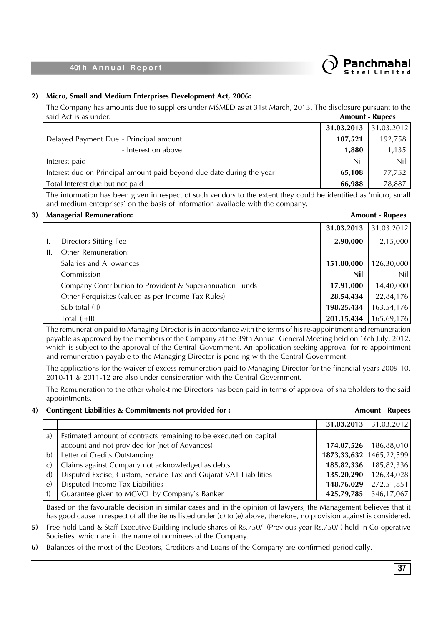

### **2) Micro, Small and Medium Enterprises Development Act, 2006:**

**T**he Company has amounts due to suppliers under MSMED as at 31st March, 2013. The disclosure pursuant to the said Act is as under: **Amount - Rupees**

|                                                                       | 31.03.2013   31.03.2012 |         |
|-----------------------------------------------------------------------|-------------------------|---------|
| Delayed Payment Due - Principal amount                                | 107,521                 | 192,758 |
| - Interest on above                                                   | 1,880                   | 1,135   |
| Interest paid                                                         | Nil                     | Nil     |
| Interest due on Principal amount paid beyond due date during the year | 65.108                  | 77.752  |
| Total Interest due but not paid                                       | 66,988                  | 78,887  |

The information has been given in respect of such vendors to the extent they could be identified as 'micro, small and medium enterprises' on the basis of information available with the company.

### **3) Managerial Remuneration: Amount - Rupees**

|    |                                                          | 31.03.2013   | 31.03.2012 |
|----|----------------------------------------------------------|--------------|------------|
| L. | Directors Sitting Fee                                    | 2,90,000     | 2,15,000   |
| H. | Other Remuneration:                                      |              |            |
|    | Salaries and Allowances                                  | 151,80,000   | 126,30,000 |
|    | Commission                                               | Nil          | Nil        |
|    | Company Contribution to Provident & Superannuation Funds | 17,91,000    | 14,40,000  |
|    | Other Perquisites (valued as per Income Tax Rules)       | 28,54,434    | 22,84,176  |
|    | Sub total (II)                                           | 198,25,434   | 163,54,176 |
|    | Total (I+II)                                             | 201, 15, 434 | 165,69,176 |

The remuneration paid to Managing Director is in accordance with the terms of his re-appointment and remuneration payable as approved by the members of the Company at the 39th Annual General Meeting held on 16th July, 2012, which is subject to the approval of the Central Government. An application seeking approval for re-appointment and remuneration payable to the Managing Director is pending with the Central Government.

The applications for the waiver of excess remuneration paid to Managing Director for the financial years 2009-10, 2010-11 & 2011-12 are also under consideration with the Central Government.

The Remuneration to the other whole-time Directors has been paid in terms of approval of shareholders to the said appointments.

### **4) Contingent Liabilities & Commitments not provided for : Amount - Rupees**

|              |                                                                   |                               | 31.03.2013   31.03.2012 |
|--------------|-------------------------------------------------------------------|-------------------------------|-------------------------|
| $\mathbf{a}$ | Estimated amount of contracts remaining to be executed on capital |                               |                         |
|              | account and not provided for (net of Advances)                    | 174,07,526                    | 186,88,010              |
| $\mathbf{b}$ | Letter of Credits Outstanding                                     | 1873, 33, 632   1465, 22, 599 |                         |
| $\mathbf{C}$ | Claims against Company not acknowledged as debts                  | 185,82,336                    | 185,82,336              |
| $\mathbf{d}$ | Disputed Excise, Custom, Service Tax and Gujarat VAT Liabilities  | 135,20,290                    | 126,34,028              |
| e)           | Disputed Income Tax Liabilities                                   | 148,76,029                    | 272,51,851              |
| f            | Guarantee given to MGVCL by Company's Banker                      | 425,79,785                    | 346,17,067              |
|              |                                                                   |                               |                         |

Based on the favourable decision in similar cases and in the opinion of lawyers, the Management believes that it has good cause in respect of all the items listed under (c) to (e) above, therefore, no provision against is considered.

- **5)** Free-hold Land & Staff Executive Building include shares of Rs.750/- (Previous year Rs.750/-) held in Co-operative Societies, which are in the name of nominees of the Company.
- **6)** Balances of the most of the Debtors, Creditors and Loans of the Company are confirmed periodically.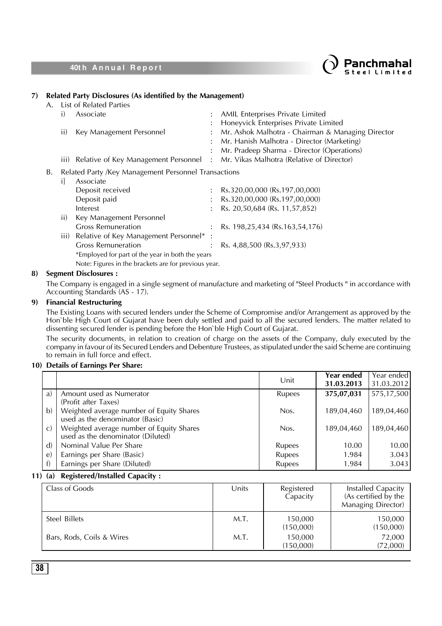



### **7) Related Party Disclosures (As identified by the Management)**

| А. |               | List of Related Parties                              |                                                   |
|----|---------------|------------------------------------------------------|---------------------------------------------------|
|    | i)            | Associate                                            | AMIL Enterprises Private Limited                  |
|    |               |                                                      | Honeyvick Enterprises Private Limited             |
|    | ii)           | Key Management Personnel                             | Mr. Ashok Malhotra - Chairman & Managing Director |
|    |               |                                                      | Mr. Hanish Malhotra - Director (Marketing)        |
|    |               |                                                      | Mr. Pradeep Sharma - Director (Operations)        |
|    | iii)          | Relative of Key Management Personnel :               | Mr. Vikas Malhotra (Relative of Director)         |
| В. |               | Related Party /Key Management Personnel Transactions |                                                   |
|    | П             | Associate                                            |                                                   |
|    |               | Deposit received                                     | Rs.320,00,000 (Rs.197,00,000)                     |
|    |               | Deposit paid                                         | Rs.320,00,000 (Rs.197,00,000)                     |
|    |               | Interest                                             | Rs. 20,50,684 (Rs. 11,57,852)                     |
|    | $\mathbf{ii}$ | Key Management Personnel                             |                                                   |
|    |               | <b>Gross Remuneration</b>                            | Rs. 198,25,434 (Rs.163,54,176)                    |
|    | iii)          | Relative of Key Management Personnel*:               |                                                   |
|    |               | <b>Gross Remuneration</b>                            | Rs. 4,88,500 (Rs.3,97,933)                        |
|    |               | *Employed for part of the year in both the years     |                                                   |
|    |               | Note: Figures in the brackets are for previous year. |                                                   |

### **8) Segment Disclosures :**

The Company is engaged in a single segment of manufacture and marketing of "Steel Products " in accordance with Accounting Standards (AS - 17).

### **9) Financial Restructuring**

The Existing Loans with secured lenders under the Scheme of Compromise and/or Arrangement as approved by the Hon`ble High Court of Gujarat have been duly settled and paid to all the secured lenders. The matter related to dissenting secured lender is pending before the Hon`ble High Court of Gujarat.

The security documents, in relation to creation of charge on the assets of the Company, duly executed by the company in favour of its Secured Lenders and Debenture Trustees, as stipulated under the said Scheme are continuing to remain in full force and effect.

### **10) Details of Earnings Per Share:**

|              |                                                                               | Unit          | Year ended<br>31.03.2013 | Year ended<br>31.03.2012 |
|--------------|-------------------------------------------------------------------------------|---------------|--------------------------|--------------------------|
| a)           | Amount used as Numerator<br>(Profit after Taxes)                              | Rupees        | 375,07,031               | 575,17,500               |
| b)           | Weighted average number of Equity Shares<br>used as the denominator (Basic)   | Nos.          | 189,04,460               | 189,04,460               |
| $\mathbf{C}$ | Weighted average number of Equity Shares<br>used as the denominator (Diluted) | Nos.          | 189,04,460               | 189,04,460               |
| $\mathbf{d}$ | Nominal Value Per Share                                                       | <b>Rupees</b> | 10.00                    | 10.00                    |
| $\epsilon$   | Earnings per Share (Basic)                                                    | <b>Rupees</b> | 1.984                    | 3.043                    |
| f)           | Earnings per Share (Diluted)                                                  | Rupees        | 1.984                    | 3.043                    |

### **11) (a) Registered/Installed Capacity :**

| Class of Goods            | Units | Registered<br>Capacity | Installed Capacity<br>(As certified by the<br>Managing Director) |
|---------------------------|-------|------------------------|------------------------------------------------------------------|
| Steel Billets             | M.T.  | 150,000<br>(150,000)   | 150,000<br>(150,000)                                             |
| Bars, Rods, Coils & Wires | M.T.  | 150,000<br>(150,000)   | 72,000<br>(72,000)                                               |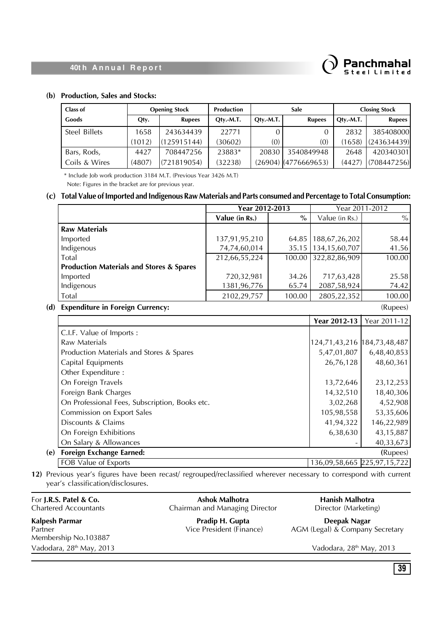# Panchmahal

### **40th Annual Report**

### **(b) Production, Sales and Stocks:**

| Class of      | <b>Opening Stock</b> |               | <b>Production</b> | <b>Sale</b> |                        | $Q$ ty.-M.T.<br><b>Rupees</b> |             |  | <b>Closing Stock</b> |
|---------------|----------------------|---------------|-------------------|-------------|------------------------|-------------------------------|-------------|--|----------------------|
| Goods         | Qty.                 | <b>Rupees</b> | Qty.-M.T.         | $Qtv.-M.T.$ | <b>Rupees</b>          |                               |             |  |                      |
| Steel Billets | 1658                 | 243634439     | 22771             |             |                        | 2832                          | 385408000   |  |                      |
|               | (1012)               | (125915144)   | (30602)           | (0)         | (0)                    | (1658)                        | (243634439) |  |                      |
| Bars, Rods,   | 4427                 | 708447256     | 23883*            | 20830       | 3540849948             | 2648                          | 420340301   |  |                      |
| Coils & Wires | (4807)               | (721819054)   | (32238)           |             | $(26904)$ (4776669653) | (4427)                        | (708447256) |  |                      |

\* Include Job work production 3184 M.T. (Previous Year 3426 M.T)

Note: Figures in the bracket are for previous year.

### **(c) Total Value of Imported and Indigenous Raw Materials and Parts consumed and Percentage to Total Consumption:**

|                                                     | Year 2012-2013 |        | Year 2011-2012        |        |
|-----------------------------------------------------|----------------|--------|-----------------------|--------|
|                                                     | Value (in Rs.) | $\%$   | Value (in Rs.)        | $\%$   |
| <b>Raw Materials</b>                                |                |        |                       |        |
| Imported                                            | 137,91,95,210  |        | 64.85   188,67,26,202 | 58.44  |
| Indigenous                                          | 74,74,60,014   |        | 35.15   134,15,60,707 | 41.56  |
| Total                                               | 212,66,55,224  |        | 100.00 322,82,86,909  | 100.00 |
| <b>Production Materials and Stores &amp; Spares</b> |                |        |                       |        |
| Imported                                            | 720,32,981     | 34.26  | 717,63,428            | 25.58  |
| Indigenous                                          | 1381,96,776    | 65.74  | 2087,58,924           | 74.42  |
| Total                                               | 2102,29,757    | 100.00 | 2805, 22, 352         | 100.00 |

**(d) Expenditure in Foreign Currency:** (Rupees)

|                                                | Year 2012-13 | Year 2011-12                  |
|------------------------------------------------|--------------|-------------------------------|
| C.I.F. Value of Imports:                       |              |                               |
| Raw Materials                                  |              | 124,71,43,216   184,73,48,487 |
| Production Materials and Stores & Spares       | 5,47,01,807  | 6,48,40,853                   |
| Capital Equipments                             | 26,76,128    | 48,60,361                     |
| Other Expenditure:                             |              |                               |
| On Foreign Travels                             | 13,72,646    | 23, 12, 253                   |
| Foreign Bank Charges                           | 14,32,510    | 18,40,306                     |
| On Professional Fees, Subscription, Books etc. | 3,02,268     | 4,52,908                      |
| Commission on Export Sales                     | 105,98,558   | 53,35,606                     |
| Discounts & Claims                             | 41,94,322    | 146,22,989                    |
| On Foreign Exhibitions                         | 6,38,630     | 43,15,887                     |
| On Salary & Allowances                         |              | 40,33,673                     |
| <b>Foreign Exchange Earned:</b><br>(e)         |              | (Rupees)                      |
| FOB Value of Exports                           |              | 136,09,58,665 225,97,15,722   |

**12)** Previous year's figures have been recast/ regrouped/reclassified wherever necessary to correspond with current year's classification/disclosures.

For **J.R.S. Patel & Co.**<br> **Ashok Malhotra Ashok Malhotra Hanish Malhotra Chartered Accountants Chairman and Managing Director Constants Director** (Marketing) Chairman and Managing Director **Kalpesh Parmar Pradip H. Gupta Pradip H. Gupta Deepak Nagar**<br>Partner **Parmar Parmar** *Partner Deepak Nagar NGM* (Legal) & Company Partner **Partner** Vice President (Finance) AGM (Legal) & Company Secretary Membership No.103887 Vadodara, 28<sup>th</sup> May, 2013 Vadodara, 28<sup>th</sup> May, 2013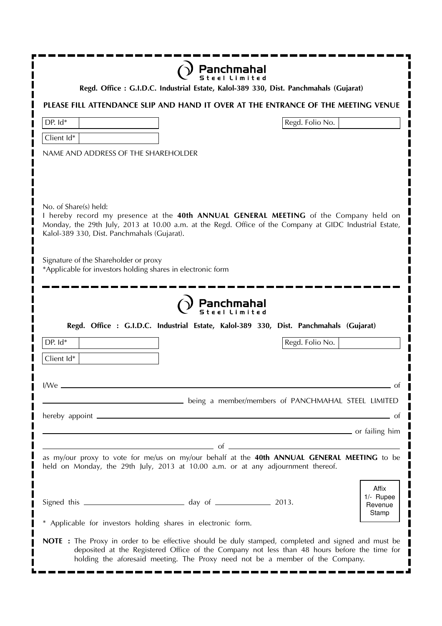|                                                                                                                                                                           | Panchmahal                                                                                                                                                                                                                                                                          |  |  |  |  |
|---------------------------------------------------------------------------------------------------------------------------------------------------------------------------|-------------------------------------------------------------------------------------------------------------------------------------------------------------------------------------------------------------------------------------------------------------------------------------|--|--|--|--|
| Regd. Office: G.I.D.C. Industrial Estate, Kalol-389 330, Dist. Panchmahals (Gujarat)<br>PLEASE FILL ATTENDANCE SLIP AND HAND IT OVER AT THE ENTRANCE OF THE MEETING VENUE |                                                                                                                                                                                                                                                                                     |  |  |  |  |
| DP. Id*                                                                                                                                                                   | Regd. Folio No.                                                                                                                                                                                                                                                                     |  |  |  |  |
| Client Id*                                                                                                                                                                |                                                                                                                                                                                                                                                                                     |  |  |  |  |
| NAME AND ADDRESS OF THE SHAREHOLDER                                                                                                                                       |                                                                                                                                                                                                                                                                                     |  |  |  |  |
| No. of Share(s) held:<br>Kalol-389 330, Dist. Panchmahals (Gujarat).<br>Signature of the Shareholder or proxy                                                             | I hereby record my presence at the 40th ANNUAL GENERAL MEETING of the Company held on<br>Monday, the 29th July, 2013 at 10.00 a.m. at the Regd. Office of the Company at GIDC Industrial Estate,                                                                                    |  |  |  |  |
| *Applicable for investors holding shares in electronic form                                                                                                               |                                                                                                                                                                                                                                                                                     |  |  |  |  |
|                                                                                                                                                                           | Panchmahal<br>Regd. Office : G.I.D.C. Industrial Estate, Kalol-389 330, Dist. Panchmahals (Gujarat)                                                                                                                                                                                 |  |  |  |  |
| DP. Id*                                                                                                                                                                   | Regd. Folio No.                                                                                                                                                                                                                                                                     |  |  |  |  |
| Client Id*                                                                                                                                                                |                                                                                                                                                                                                                                                                                     |  |  |  |  |
| I/We                                                                                                                                                                      | Ωt<br>being a member/members of PANCHMAHAL STEEL LIMITED                                                                                                                                                                                                                            |  |  |  |  |
|                                                                                                                                                                           | 0t                                                                                                                                                                                                                                                                                  |  |  |  |  |
|                                                                                                                                                                           | <u>1990 - Communication and the set of the set of the set of the set of the set of the set of the set of the set o</u>                                                                                                                                                              |  |  |  |  |
|                                                                                                                                                                           | $\overline{\phantom{a}}$ of $\overline{\phantom{a}}$<br>as my/our proxy to vote for me/us on my/our behalf at the 40th ANNUAL GENERAL MEETING to be<br>held on Monday, the 29th July, 2013 at 10.00 a.m. or at any adjournment thereof.<br>Affix                                    |  |  |  |  |
| * Applicable for investors holding shares in electronic form.                                                                                                             | 1/- Rupee<br>Revenue<br>Stamp                                                                                                                                                                                                                                                       |  |  |  |  |
|                                                                                                                                                                           | NOTE : The Proxy in order to be effective should be duly stamped, completed and signed and must be<br>deposited at the Registered Office of the Company not less than 48 hours before the time for<br>holding the aforesaid meeting. The Proxy need not be a member of the Company. |  |  |  |  |